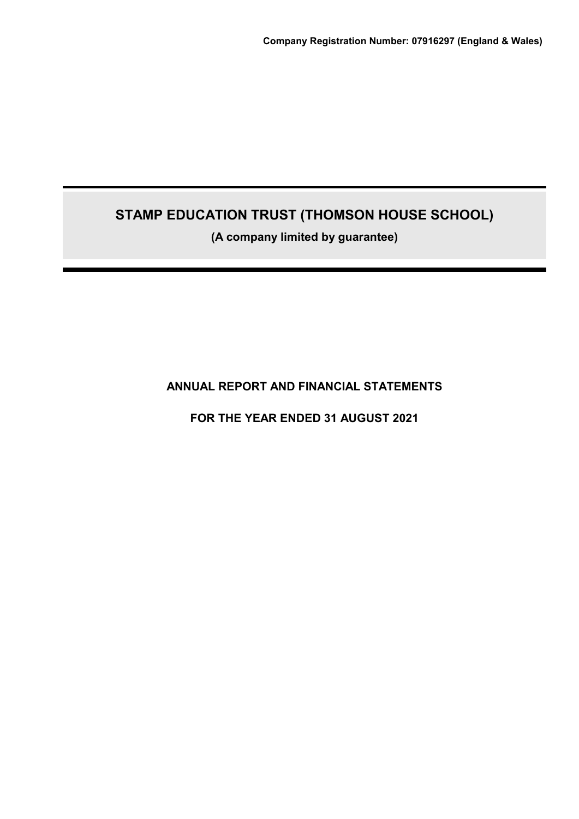# **STAMP EDUCATION TRUST (THOMSON HOUSE SCHOOL)**

**(A company limited by guarantee)**

**ANNUAL REPORT AND FINANCIAL STATEMENTS**

**FOR THE YEAR ENDED 31 AUGUST 2021**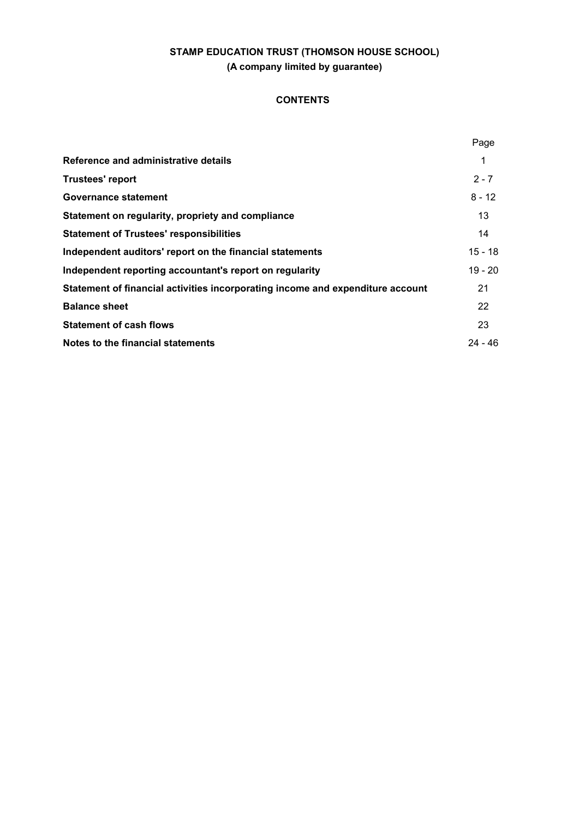# **CONTENTS**

|                                                                                | Page      |
|--------------------------------------------------------------------------------|-----------|
| Reference and administrative details                                           | 1         |
| <b>Trustees' report</b>                                                        | $2 - 7$   |
| Governance statement                                                           | $8 - 12$  |
| Statement on regularity, propriety and compliance                              | 13        |
| <b>Statement of Trustees' responsibilities</b>                                 | 14        |
| Independent auditors' report on the financial statements                       | $15 - 18$ |
| Independent reporting accountant's report on regularity                        | $19 - 20$ |
| Statement of financial activities incorporating income and expenditure account | 21        |
| <b>Balance sheet</b>                                                           | 22        |
| <b>Statement of cash flows</b>                                                 | 23        |
| Notes to the financial statements                                              | $24 - 46$ |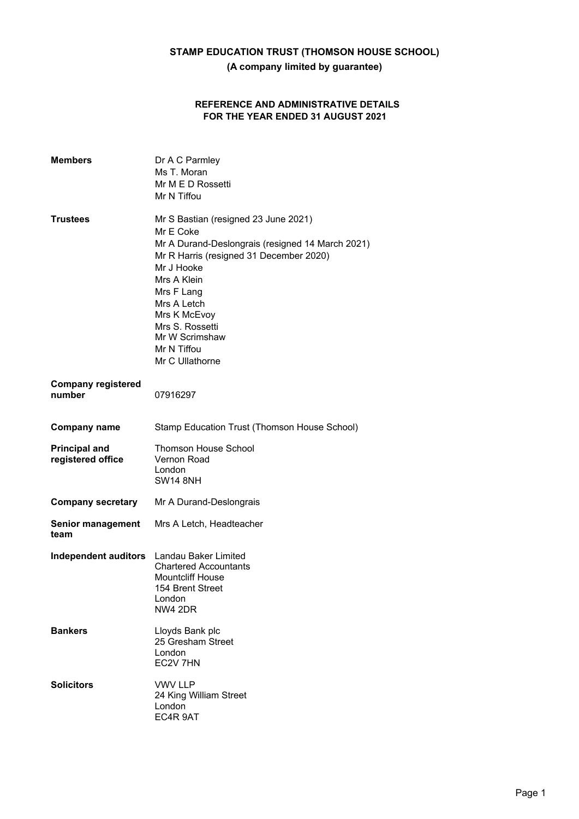# **REFERENCE AND ADMINISTRATIVE DETAILS FOR THE YEAR ENDED 31 AUGUST 2021**

| <b>Members</b>                            | Dr A C Parmley<br>Ms T. Moran<br>Mr M E D Rossetti<br>Mr N Tiffou                                                                                                                                                                                                                                 |
|-------------------------------------------|---------------------------------------------------------------------------------------------------------------------------------------------------------------------------------------------------------------------------------------------------------------------------------------------------|
| <b>Trustees</b>                           | Mr S Bastian (resigned 23 June 2021)<br>Mr E Coke<br>Mr A Durand-Deslongrais (resigned 14 March 2021)<br>Mr R Harris (resigned 31 December 2020)<br>Mr J Hooke<br>Mrs A Klein<br>Mrs F Lang<br>Mrs A Letch<br>Mrs K McEvoy<br>Mrs S. Rossetti<br>Mr W Scrimshaw<br>Mr N Tiffou<br>Mr C Ullathorne |
| <b>Company registered</b><br>number       | 07916297                                                                                                                                                                                                                                                                                          |
| <b>Company name</b>                       | Stamp Education Trust (Thomson House School)                                                                                                                                                                                                                                                      |
| <b>Principal and</b><br>registered office | <b>Thomson House School</b><br>Vernon Road<br>London<br><b>SW14 8NH</b>                                                                                                                                                                                                                           |
| <b>Company secretary</b>                  | Mr A Durand-Deslongrais                                                                                                                                                                                                                                                                           |
| <b>Senior management</b><br>team          | Mrs A Letch, Headteacher                                                                                                                                                                                                                                                                          |
| Independent auditors                      | Landau Baker Limited<br><b>Chartered Accountants</b><br><b>Mountcliff House</b><br>154 Brent Street<br>London<br><b>NW4 2DR</b>                                                                                                                                                                   |
| <b>Bankers</b>                            | Lloyds Bank plc<br>25 Gresham Street<br>London<br>EC2V 7HN                                                                                                                                                                                                                                        |
| <b>Solicitors</b>                         | <b>VWV LLP</b><br>24 King William Street<br>London<br>EC4R 9AT                                                                                                                                                                                                                                    |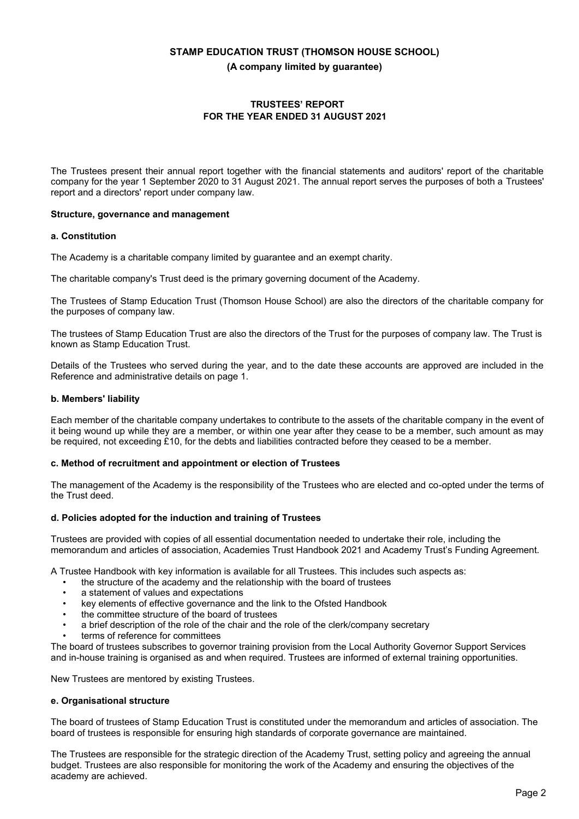# **TRUSTEES' REPORT FOR THE YEAR ENDED 31 AUGUST 2021**

The Trustees present their annual report together with the financial statements and auditors' report of the charitable company for the year 1 September 2020 to 31 August 2021. The annual report serves the purposes of both a Trustees' report and a directors' report under company law.

#### **Structure, governance and management**

#### **a. Constitution**

The Academy is a charitable company limited by guarantee and an exempt charity.

The charitable company's Trust deed is the primary governing document of the Academy.

The Trustees of Stamp Education Trust (Thomson House School) are also the directors of the charitable company for the purposes of company law.

The trustees of Stamp Education Trust are also the directors of the Trust for the purposes of company law. The Trust is known as Stamp Education Trust.

Details of the Trustees who served during the year, and to the date these accounts are approved are included in the Reference and administrative details on page 1.

#### **b. Members' liability**

Each member of the charitable company undertakes to contribute to the assets of the charitable company in the event of it being wound up while they are a member, or within one year after they cease to be a member, such amount as may be required, not exceeding £10, for the debts and liabilities contracted before they ceased to be a member.

#### **c. Method of recruitment and appointment or election of Trustees**

The management of the Academy is the responsibility of the Trustees who are elected and co-opted under the terms of the Trust deed.

#### **d. Policies adopted for the induction and training of Trustees**

Trustees are provided with copies of all essential documentation needed to undertake their role, including the memorandum and articles of association, Academies Trust Handbook 2021 and Academy Trust's Funding Agreement.

A Trustee Handbook with key information is available for all Trustees. This includes such aspects as:

- the structure of the academy and the relationship with the board of trustees
- a statement of values and expectations
- key elements of effective governance and the link to the Ofsted Handbook
- the committee structure of the board of trustees
- a brief description of the role of the chair and the role of the clerk/company secretary
- terms of reference for committees

The board of trustees subscribes to governor training provision from the Local Authority Governor Support Services and in-house training is organised as and when required. Trustees are informed of external training opportunities.

New Trustees are mentored by existing Trustees.

## **e. Organisational structure**

The board of trustees of Stamp Education Trust is constituted under the memorandum and articles of association. The board of trustees is responsible for ensuring high standards of corporate governance are maintained.

The Trustees are responsible for the strategic direction of the Academy Trust, setting policy and agreeing the annual budget. Trustees are also responsible for monitoring the work of the Academy and ensuring the objectives of the academy are achieved.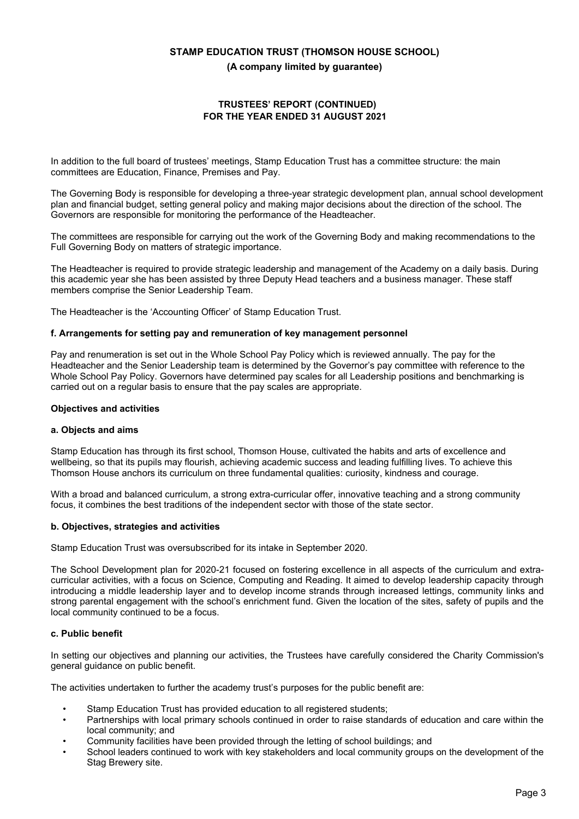## **75867((6¶5(3257 (CONTINUED) FOR THE YEAR ENDED 31 AUGUST 2021**

In addition to the full board of trustees' meetings, Stamp Education Trust has a committee structure: the main committees are Education, Finance, Premises and Pay.

The Governing Body is responsible for developing a three-year strategic development plan, annual school development plan and financial budget, setting general policy and making major decisions about the direction of the school. The Governors are responsible for monitoring the performance of the Headteacher.

The committees are responsible for carrying out the work of the Governing Body and making recommendations to the Full Governing Body on matters of strategic importance.

The Headteacher is required to provide strategic leadership and management of the Academy on a daily basis. During this academic year she has been assisted by three Deputy Head teachers and a business manager. These staff members comprise the Senior Leadership Team.

The Headteacher is the 'Accounting Officer' of Stamp Education Trust.

#### **f. Arrangements for setting pay and remuneration of key management personnel**

Pay and renumeration is set out in the Whole School Pay Policy which is reviewed annually. The pay for the Headteacher and the Senior Leadership team is determined by the Governor's pay committee with reference to the Whole School Pay Policy. Governors have determined pay scales for all Leadership positions and benchmarking is carried out on a regular basis to ensure that the pay scales are appropriate.

#### **Objectives and activities**

#### **a. Objects and aims**

Stamp Education has through its first school, Thomson House, cultivated the habits and arts of excellence and wellbeing, so that its pupils may flourish, achieving academic success and leading fulfilling lives. To achieve this Thomson House anchors its curriculum on three fundamental qualities: curiosity, kindness and courage.

With a broad and balanced curriculum, a strong extra-curricular offer, innovative teaching and a strong community focus, it combines the best traditions of the independent sector with those of the state sector.

#### **b. Objectives, strategies and activities**

Stamp Education Trust was oversubscribed for its intake in September 2020.

The School Development plan for 2020-21 focused on fostering excellence in all aspects of the curriculum and extracurricular activities, with a focus on Science, Computing and Reading. It aimed to develop leadership capacity through introducing a middle leadership layer and to develop income strands through increased lettings, community links and strong parental engagement with the school's enrichment fund. Given the location of the sites, safety of pupils and the local community continued to be a focus.

## **c. Public benefit**

In setting our objectives and planning our activities, the Trustees have carefully considered the Charity Commission's general guidance on public benefit.

The activities undertaken to further the academy trust's purposes for the public benefit are:

- Stamp Education Trust has provided education to all registered students;
- Partnerships with local primary schools continued in order to raise standards of education and care within the local community; and
- Community facilities have been provided through the letting of school buildings; and
- School leaders continued to work with key stakeholders and local community groups on the development of the Stag Brewery site.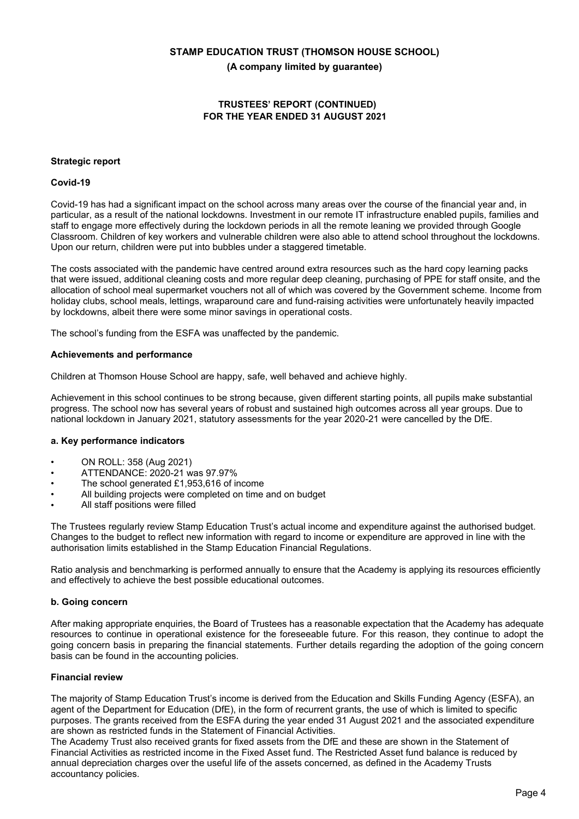# **75867((6¶5(3257 (CONTINUED) FOR THE YEAR ENDED 31 AUGUST 2021**

## **Strategic report**

#### **Covid-19**

Covid-19 has had a significant impact on the school across many areas over the course of the financial year and, in particular, as a result of the national lockdowns. Investment in our remote IT infrastructure enabled pupils, families and staff to engage more effectively during the lockdown periods in all the remote leaning we provided through Google Classroom. Children of key workers and vulnerable children were also able to attend school throughout the lockdowns. Upon our return, children were put into bubbles under a staggered timetable.

The costs associated with the pandemic have centred around extra resources such as the hard copy learning packs that were issued, additional cleaning costs and more regular deep cleaning, purchasing of PPE for staff onsite, and the allocation of school meal supermarket vouchers not all of which was covered by the Government scheme. Income from holiday clubs, school meals, lettings, wraparound care and fund-raising activities were unfortunately heavily impacted by lockdowns, albeit there were some minor savings in operational costs.

The school's funding from the ESFA was unaffected by the pandemic.

#### **Achievements and performance**

Children at Thomson House School are happy, safe, well behaved and achieve highly.

Achievement in this school continues to be strong because, given different starting points, all pupils make substantial progress. The school now has several years of robust and sustained high outcomes across all year groups. Due to national lockdown in January 2021, statutory assessments for the year 2020-21 were cancelled by the DfE.

#### **a. Key performance indicators**

- ON ROLL: 358 (Aug 2021)
- ATTENDANCE: 2020-21 was 97.97%
- The school generated £1,953,616 of income
- All building projects were completed on time and on budget
- All staff positions were filled

The Trustees regularly review Stamp Education Trust's actual income and expenditure against the authorised budget. Changes to the budget to reflect new information with regard to income or expenditure are approved in line with the authorisation limits established in the Stamp Education Financial Regulations.

Ratio analysis and benchmarking is performed annually to ensure that the Academy is applying its resources efficiently and effectively to achieve the best possible educational outcomes.

#### **b. Going concern**

After making appropriate enquiries, the Board of Trustees has a reasonable expectation that the Academy has adequate resources to continue in operational existence for the foreseeable future. For this reason, they continue to adopt the going concern basis in preparing the financial statements. Further details regarding the adoption of the going concern basis can be found in the accounting policies.

#### **Financial review**

The maiority of Stamp Education Trust's income is derived from the Education and Skills Funding Agency (ESFA), an agent of the Department for Education (DfE), in the form of recurrent grants, the use of which is limited to specific purposes. The grants received from the ESFA during the year ended 31 August 2021 and the associated expenditure are shown as restricted funds in the Statement of Financial Activities.

The Academy Trust also received grants for fixed assets from the DfE and these are shown in the Statement of Financial Activities as restricted income in the Fixed Asset fund. The Restricted Asset fund balance is reduced by annual depreciation charges over the useful life of the assets concerned, as defined in the Academy Trusts accountancy policies.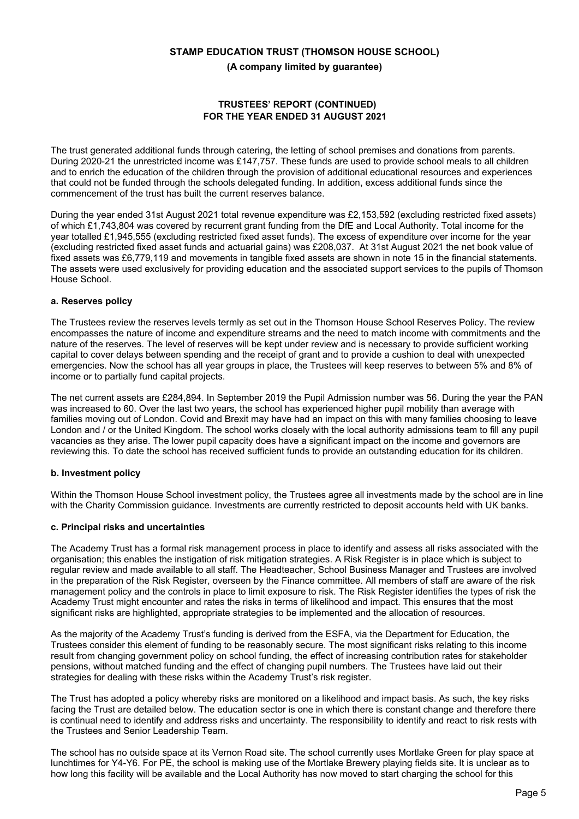# **75867((6¶5(3257 (CONTINUED) FOR THE YEAR ENDED 31 AUGUST 2021**

The trust generated additional funds through catering, the letting of school premises and donations from parents. During 2020-21 the unrestricted income was £147,757. These funds are used to provide school meals to all children and to enrich the education of the children through the provision of additional educational resources and experiences that could not be funded through the schools delegated funding. In addition, excess additional funds since the commencement of the trust has built the current reserves balance.

During the year ended 31st August 2021 total revenue expenditure was £2,153,592 (excluding restricted fixed assets) of which £1,743,804 was covered by recurrent grant funding from the DfE and Local Authority. Total income for the year totalled £1,945,555 (excluding restricted fixed asset funds). The excess of expenditure over income for the year (excluding restricted fixed asset funds and actuarial gains) was £208,037. At 31st August 2021 the net book value of fixed assets was £6,779,119 and movements in tangible fixed assets are shown in note 15 in the financial statements. The assets were used exclusively for providing education and the associated support services to the pupils of Thomson House School.

#### **a. Reserves policy**

The Trustees review the reserves levels termly as set out in the Thomson House School Reserves Policy. The review encompasses the nature of income and expenditure streams and the need to match income with commitments and the nature of the reserves. The level of reserves will be kept under review and is necessary to provide sufficient working capital to cover delays between spending and the receipt of grant and to provide a cushion to deal with unexpected emergencies. Now the school has all year groups in place, the Trustees will keep reserves to between 5% and 8% of income or to partially fund capital projects.

The net current assets are £284,894. In September 2019 the Pupil Admission number was 56. During the year the PAN was increased to 60. Over the last two years, the school has experienced higher pupil mobility than average with families moving out of London. Covid and Brexit may have had an impact on this with many families choosing to leave London and / or the United Kingdom. The school works closely with the local authority admissions team to fill any pupil vacancies as they arise. The lower pupil capacity does have a significant impact on the income and governors are reviewing this. To date the school has received sufficient funds to provide an outstanding education for its children.

#### **b. Investment policy**

Within the Thomson House School investment policy, the Trustees agree all investments made by the school are in line with the Charity Commission guidance. Investments are currently restricted to deposit accounts held with UK banks.

#### **c. Principal risks and uncertainties**

The Academy Trust has a formal risk management process in place to identify and assess all risks associated with the organisation; this enables the instigation of risk mitigation strategies. A Risk Register is in place which is subject to regular review and made available to all staff. The Headteacher, School Business Manager and Trustees are involved in the preparation of the Risk Register, overseen by the Finance committee. All members of staff are aware of the risk management policy and the controls in place to limit exposure to risk. The Risk Register identifies the types of risk the Academy Trust might encounter and rates the risks in terms of likelihood and impact. This ensures that the most significant risks are highlighted, appropriate strategies to be implemented and the allocation of resources.

As the maiority of the Academy Trust's funding is derived from the ESFA, via the Department for Education, the Trustees consider this element of funding to be reasonably secure. The most significant risks relating to this income result from changing government policy on school funding, the effect of increasing contribution rates for stakeholder pensions, without matched funding and the effect of changing pupil numbers. The Trustees have laid out their strategies for dealing with these risks within the Academy Trust's risk register.

The Trust has adopted a policy whereby risks are monitored on a likelihood and impact basis. As such, the key risks facing the Trust are detailed below. The education sector is one in which there is constant change and therefore there is continual need to identify and address risks and uncertainty. The responsibility to identify and react to risk rests with the Trustees and Senior Leadership Team.

The school has no outside space at its Vernon Road site. The school currently uses Mortlake Green for play space at lunchtimes for Y4-Y6. For PE, the school is making use of the Mortlake Brewery playing fields site. It is unclear as to how long this facility will be available and the Local Authority has now moved to start charging the school for this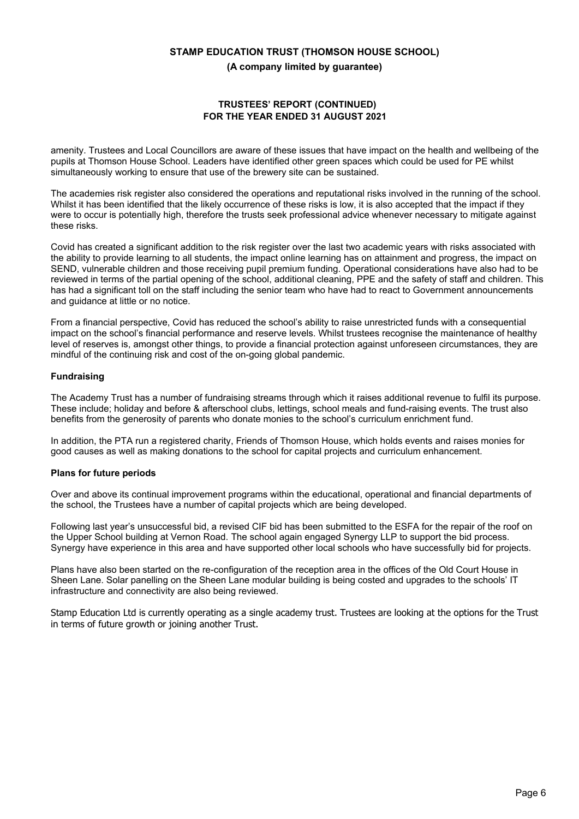# **75867((6¶5(3257 (CONTINUED) FOR THE YEAR ENDED 31 AUGUST 2021**

amenity. Trustees and Local Councillors are aware of these issues that have impact on the health and wellbeing of the pupils at Thomson House School. Leaders have identified other green spaces which could be used for PE whilst simultaneously working to ensure that use of the brewery site can be sustained.

The academies risk register also considered the operations and reputational risks involved in the running of the school. Whilst it has been identified that the likely occurrence of these risks is low, it is also accepted that the impact if they were to occur is potentially high, therefore the trusts seek professional advice whenever necessary to mitigate against these risks.

Covid has created a significant addition to the risk register over the last two academic years with risks associated with the ability to provide learning to all students, the impact online learning has on attainment and progress, the impact on SEND, vulnerable children and those receiving pupil premium funding. Operational considerations have also had to be reviewed in terms of the partial opening of the school, additional cleaning, PPE and the safety of staff and children. This has had a significant toll on the staff including the senior team who have had to react to Government announcements and guidance at little or no notice.

From a financial perspective, Covid has reduced the school's ability to raise unrestricted funds with a consequential impact on the school's financial performance and reserve levels. Whilst trustees recognise the maintenance of healthy level of reserves is, amongst other things, to provide a financial protection against unforeseen circumstances, they are mindful of the continuing risk and cost of the on-going global pandemic.

## **Fundraising**

The Academy Trust has a number of fundraising streams through which it raises additional revenue to fulfil its purpose. These include; holiday and before & afterschool clubs, lettings, school meals and fund-raising events. The trust also benefits from the generosity of parents who donate monies to the school's curriculum enrichment fund.

In addition, the PTA run a registered charity, Friends of Thomson House, which holds events and raises monies for good causes as well as making donations to the school for capital projects and curriculum enhancement.

#### **Plans for future periods**

Over and above its continual improvement programs within the educational, operational and financial departments of the school, the Trustees have a number of capital projects which are being developed.

Following last year's unsuccessful bid, a revised CIF bid has been submitted to the ESFA for the repair of the roof on the Upper School building at Vernon Road. The school again engaged Synergy LLP to support the bid process. Synergy have experience in this area and have supported other local schools who have successfully bid for projects.

Plans have also been started on the re-configuration of the reception area in the offices of the Old Court House in Sheen Lane. Solar panelling on the Sheen Lane modular building is being costed and upgrades to the schools' IT infrastructure and connectivity are also being reviewed.

Stamp Education Ltd is currently operating as a single academy trust. Trustees are looking at the options for the Trust in terms of future growth or joining another Trust.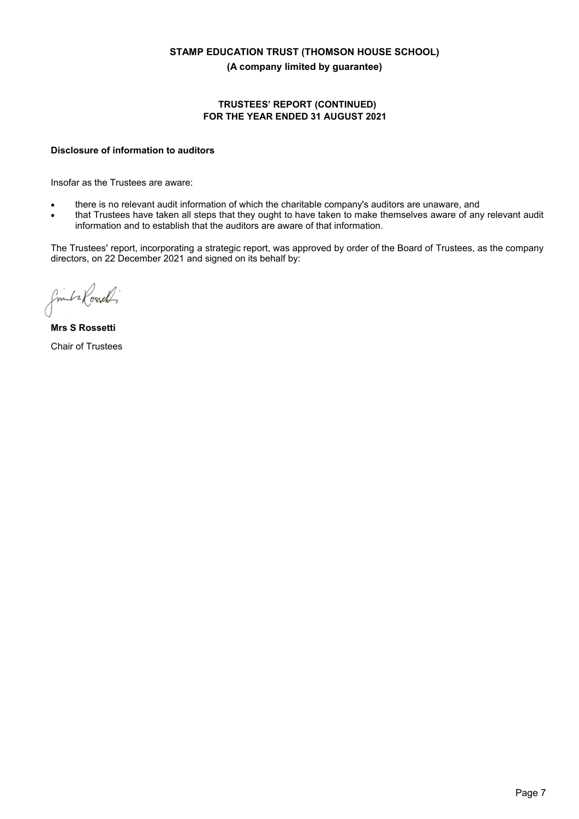# **75867((6¶5(3257 (CONTINUED) FOR THE YEAR ENDED 31 AUGUST 2021**

## **Disclosure of information to auditors**

Insofar as the Trustees are aware:

- there is no relevant audit information of which the charitable company's auditors are unaware, and
- x that Trustees have taken all steps that they ought to have taken to make themselves aware of any relevant audit information and to establish that the auditors are aware of that information.

The Trustees' report, incorporating a strategic report, was approved by order of the Board of Trustees, as the company directors, on 22 December 2021 and signed on its behalf by:

finita Road

**Mrs S Rossetti**  Chair of Trustees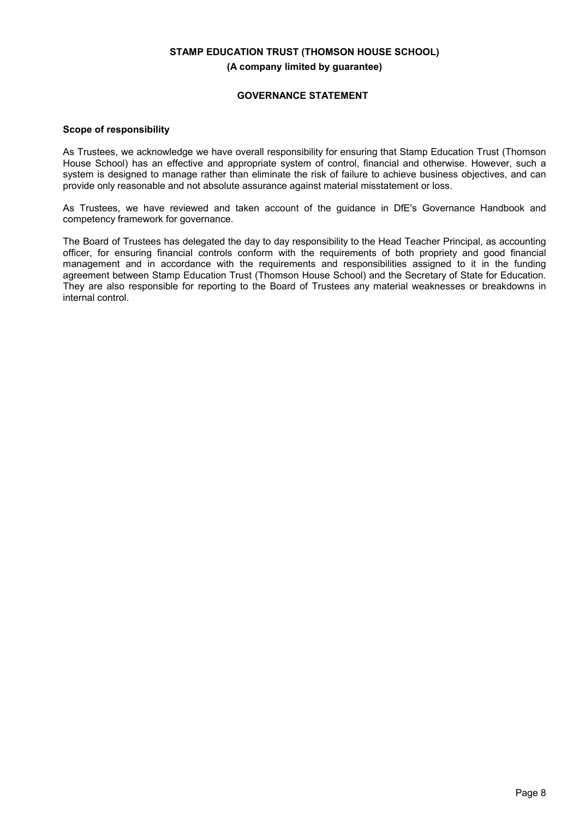# **GOVERNANCE STATEMENT**

#### **Scope of responsibility**

As Trustees, we acknowledge we have overall responsibility for ensuring that Stamp Education Trust (Thomson House School) has an effective and appropriate system of control, financial and otherwise. However, such a system is designed to manage rather than eliminate the risk of failure to achieve business objectives, and can provide only reasonable and not absolute assurance against material misstatement or loss.

As Trustees, we have reviewed and taken account of the guidance in DfE's Governance Handbook and competency framework for governance.

The Board of Trustees has delegated the day to day responsibility to the Head Teacher Principal, as accounting officer, for ensuring financial controls conform with the requirements of both propriety and good financial management and in accordance with the requirements and responsibilities assigned to it in the funding agreement between Stamp Education Trust (Thomson House School) and the Secretary of State for Education. They are also responsible for reporting to the Board of Trustees any material weaknesses or breakdowns in internal control.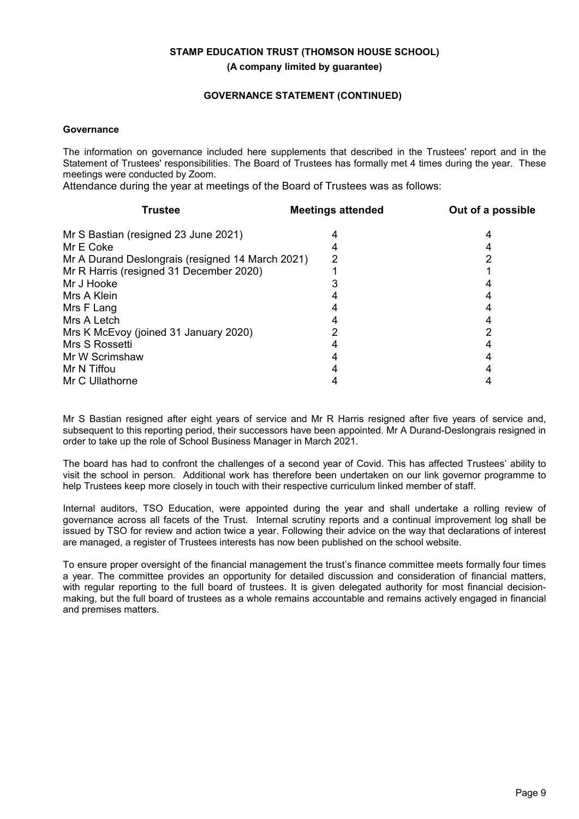# **GOVERNANCE STATEMENT (CONTINUED)**

## **Governance**

The information on governance included here supplements that described in the Trustees' report and in the Statement of Trustees' responsibilities. The Board of Trustees has formally met 4 times during the year. These meetings were conducted by Zoom.

Attendance during the year at meetings of the Board of Trustees was as follows:

| Trustee                                          | <b>Meetings attended</b> | Out of a possible |
|--------------------------------------------------|--------------------------|-------------------|
| Mr S Bastian (resigned 23 June 2021)             |                          |                   |
| Mr E Coke                                        |                          |                   |
| Mr A Durand Deslongrais (resigned 14 March 2021) |                          |                   |
| Mr R Harris (resigned 31 December 2020)          |                          |                   |
| Mr J Hooke                                       |                          |                   |
| Mrs A Klein                                      |                          |                   |
| Mrs F Lang                                       |                          |                   |
| Mrs A Letch                                      |                          |                   |
| Mrs K McEvoy (joined 31 January 2020)            |                          |                   |
| Mrs S Rossetti                                   |                          |                   |
| Mr W Scrimshaw                                   |                          |                   |
| Mr N Tiffou                                      |                          |                   |
| Mr C Ullathorne                                  |                          |                   |
|                                                  |                          |                   |

Mr S Bastian resigned after eight years of service and Mr R Harris resigned after five years of service and, subsequent to this reporting period, their successors have been appointed. Mr A Durand-Deslongrais resigned in order to take up the role of School Business Manager in March 2021.

The board has had to confront the challenges of a second year of Covid. This has affected Trustees' ability to visit the school in person. Additional work has therefore been undertaken on our link governor programme to help Trustees keep more closely in touch with their respective curriculum linked member of staff.

Internal auditors, TSO Education, were appointed during the year and shall undertake a rolling review of governance across all facets of the Trust. Internal scrutiny reports and a continual improvement log shall be issued by TSO for review and action twice a year. Following their advice on the way that declarations of interest are managed, a register of Trustees interests has now been published on the school website.

To ensure proper oversight of the financial management the trust's finance committee meets formally four times a year. The committee provides an opportunity for detailed discussion and consideration of financial matters, with regular reporting to the full board of trustees. It is given delegated authority for most financial decisionmaking, but the full board of trustees as a whole remains accountable and remains actively engaged in financial and premises matters.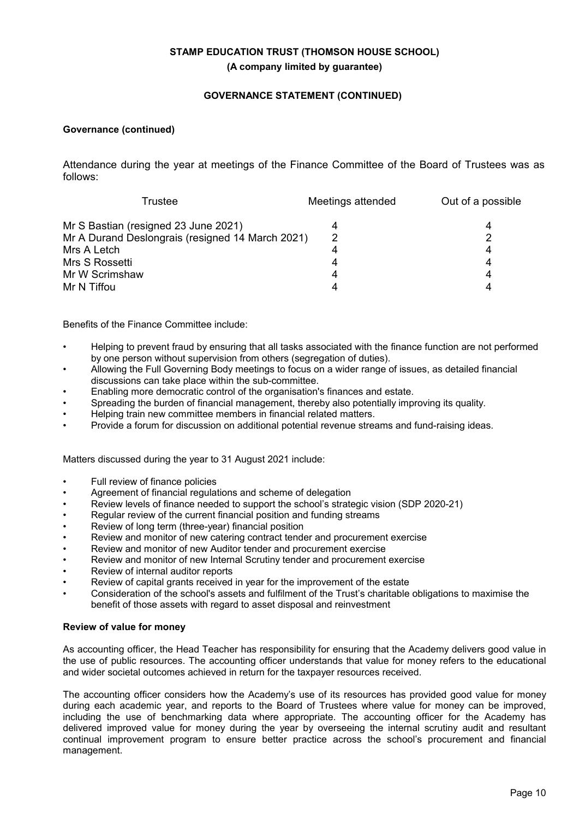# **GOVERNANCE STATEMENT (CONTINUED)**

# **Governance (continued)**

Attendance during the year at meetings of the Finance Committee of the Board of Trustees was as follows:

| Trustee                                          | Meetings attended | Out of a possible |  |
|--------------------------------------------------|-------------------|-------------------|--|
| Mr S Bastian (resigned 23 June 2021)             | 4                 |                   |  |
| Mr A Durand Deslongrais (resigned 14 March 2021) | 2                 |                   |  |
| Mrs A Letch                                      | 4                 | 4                 |  |
| Mrs S Rossetti                                   | 4                 | 4                 |  |
| Mr W Scrimshaw                                   | 4                 | 4                 |  |
| Mr N Tiffou                                      |                   |                   |  |

Benefits of the Finance Committee include:

- Helping to prevent fraud by ensuring that all tasks associated with the finance function are not performed by one person without supervision from others (segregation of duties).
- Allowing the Full Governing Body meetings to focus on a wider range of issues, as detailed financial discussions can take place within the sub-committee.
- Enabling more democratic control of the organisation's finances and estate.
- Spreading the burden of financial management, thereby also potentially improving its quality.
- Helping train new committee members in financial related matters.
- Provide a forum for discussion on additional potential revenue streams and fund-raising ideas.

Matters discussed during the year to 31 August 2021 include:

- Full review of finance policies
- Agreement of financial regulations and scheme of delegation
- Review levels of finance needed to support the school's strategic vision (SDP 2020-21)
- Regular review of the current financial position and funding streams
- Review of long term (three-year) financial position
- Review and monitor of new catering contract tender and procurement exercise
- Review and monitor of new Auditor tender and procurement exercise
- Review and monitor of new Internal Scrutiny tender and procurement exercise
- Review of internal auditor reports
- Review of capital grants received in year for the improvement of the estate
- Consideration of the school's assets and fulfilment of the Trust's charitable obligations to maximise the benefit of those assets with regard to asset disposal and reinvestment

#### **Review of value for money**

As accounting officer, the Head Teacher has responsibility for ensuring that the Academy delivers good value in the use of public resources. The accounting officer understands that value for money refers to the educational and wider societal outcomes achieved in return for the taxpayer resources received.

The accounting officer considers how the Academy's use of its resources has provided good value for money during each academic year, and reports to the Board of Trustees where value for money can be improved, including the use of benchmarking data where appropriate. The accounting officer for the Academy has delivered improved value for money during the year by overseeing the internal scrutiny audit and resultant continual improvement program to ensure better practice across the school's procurement and financial management.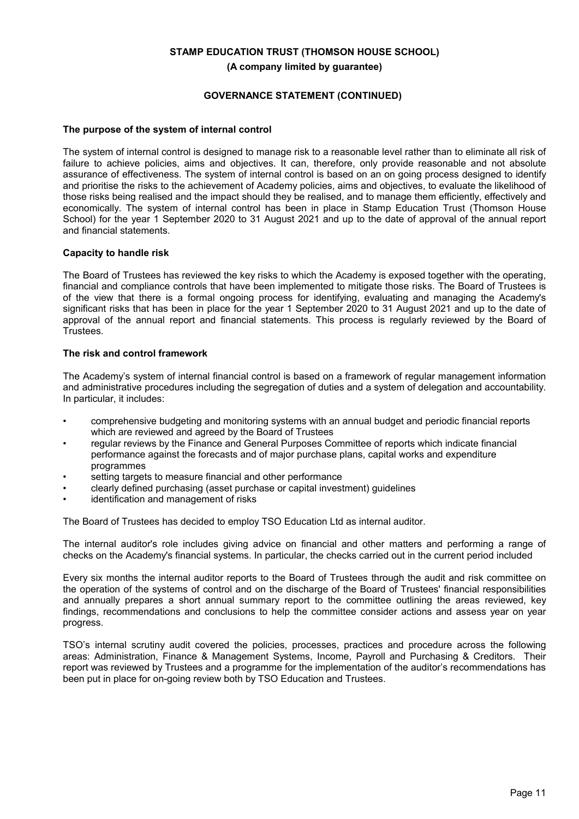# **GOVERNANCE STATEMENT (CONTINUED)**

#### **The purpose of the system of internal control**

The system of internal control is designed to manage risk to a reasonable level rather than to eliminate all risk of failure to achieve policies, aims and objectives. It can, therefore, only provide reasonable and not absolute assurance of effectiveness. The system of internal control is based on an on going process designed to identify and prioritise the risks to the achievement of Academy policies, aims and objectives, to evaluate the likelihood of those risks being realised and the impact should they be realised, and to manage them efficiently, effectively and economically. The system of internal control has been in place in Stamp Education Trust (Thomson House School) for the year 1 September 2020 to 31 August 2021 and up to the date of approval of the annual report and financial statements.

#### **Capacity to handle risk**

The Board of Trustees has reviewed the key risks to which the Academy is exposed together with the operating, financial and compliance controls that have been implemented to mitigate those risks. The Board of Trustees is of the view that there is a formal ongoing process for identifying, evaluating and managing the Academy's significant risks that has been in place for the year 1 September 2020 to 31 August 2021 and up to the date of approval of the annual report and financial statements. This process is regularly reviewed by the Board of **Trustees** 

#### **The risk and control framework**

The Academy's system of internal financial control is based on a framework of regular management information and administrative procedures including the segregation of duties and a system of delegation and accountability. In particular, it includes:

- comprehensive budgeting and monitoring systems with an annual budget and periodic financial reports which are reviewed and agreed by the Board of Trustees
- regular reviews by the Finance and General Purposes Committee of reports which indicate financial performance against the forecasts and of major purchase plans, capital works and expenditure programmes
- setting targets to measure financial and other performance
- clearly defined purchasing (asset purchase or capital investment) guidelines
- identification and management of risks

The Board of Trustees has decided to employ TSO Education Ltd as internal auditor.

The internal auditor's role includes giving advice on financial and other matters and performing a range of checks on the Academy's financial systems. In particular, the checks carried out in the current period included

Every six months the internal auditor reports to the Board of Trustees through the audit and risk committee on the operation of the systems of control and on the discharge of the Board of Trustees' financial responsibilities and annually prepares a short annual summary report to the committee outlining the areas reviewed, key findings, recommendations and conclusions to help the committee consider actions and assess year on year progress.

TSO's internal scrutiny audit covered the policies, processes, practices and procedure across the following areas: Administration, Finance & Management Systems, Income, Payroll and Purchasing & Creditors. Their report was reviewed by Trustees and a programme for the implementation of the auditor's recommendations has been put in place for on-going review both by TSO Education and Trustees.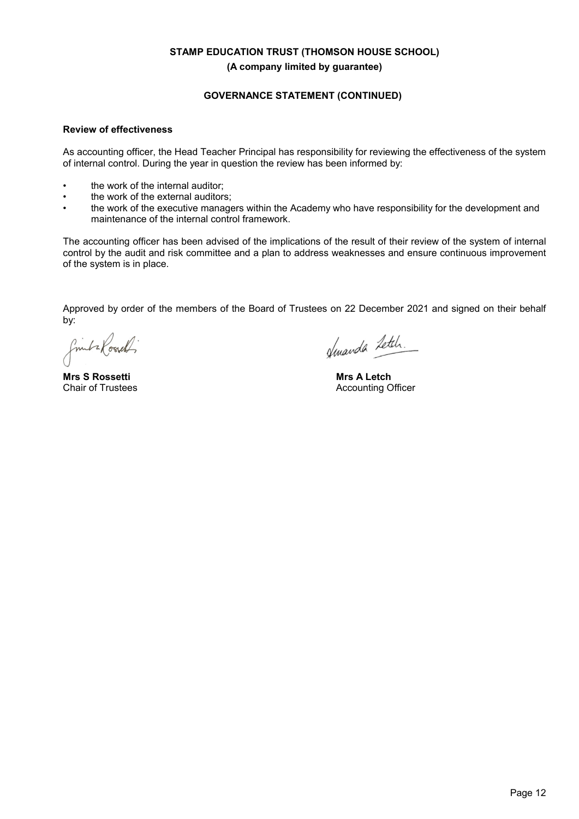# **GOVERNANCE STATEMENT (CONTINUED)**

#### **Review of effectiveness**

As accounting officer, the Head Teacher Principal has responsibility for reviewing the effectiveness of the system of internal control. During the year in question the review has been informed by:

- the work of the internal auditor;
- the work of the external auditors:
- the work of the executive managers within the Academy who have responsibility for the development and maintenance of the internal control framework.

The accounting officer has been advised of the implications of the result of their review of the system of internal control by the audit and risk committee and a plan to address weaknesses and ensure continuous improvement of the system is in place.

Approved by order of the members of the Board of Trustees on 22 December 2021 and signed on their behalf by:

finita Road

**Mrs S Rossetti** Chair of Trustees

fenanda Letch.

**Mrs A Letch** Accounting Officer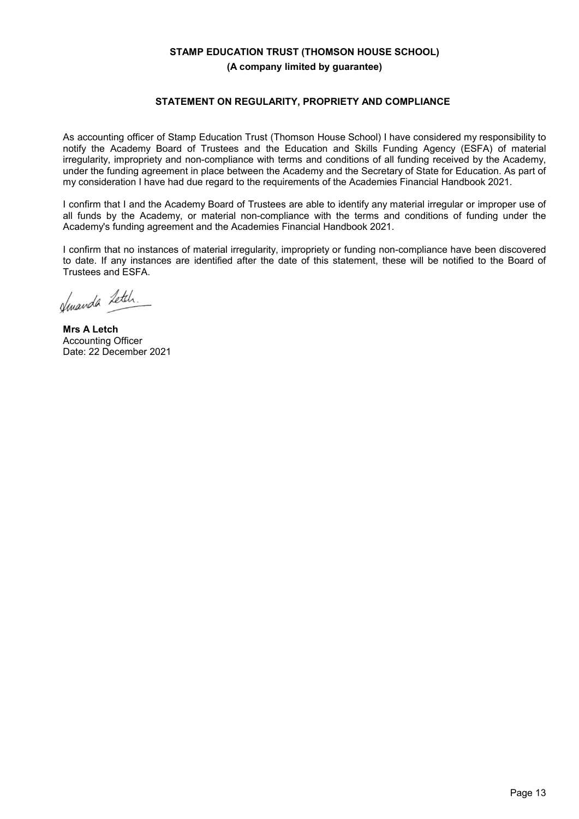## **STATEMENT ON REGULARITY, PROPRIETY AND COMPLIANCE**

As accounting officer of Stamp Education Trust (Thomson House School) I have considered my responsibility to notify the Academy Board of Trustees and the Education and Skills Funding Agency (ESFA) of material irregularity, impropriety and non-compliance with terms and conditions of all funding received by the Academy, under the funding agreement in place between the Academy and the Secretary of State for Education. As part of my consideration I have had due regard to the requirements of the Academies Financial Handbook 2021.

I confirm that I and the Academy Board of Trustees are able to identify any material irregular or improper use of all funds by the Academy, or material non-compliance with the terms and conditions of funding under the Academy's funding agreement and the Academies Financial Handbook 2021.

I confirm that no instances of material irregularity, impropriety or funding non-compliance have been discovered to date. If any instances are identified after the date of this statement, these will be notified to the Board of Trustees and ESFA.

Jewanda Letch.

**Mrs A Letch** Accounting Officer Date: 22 December 2021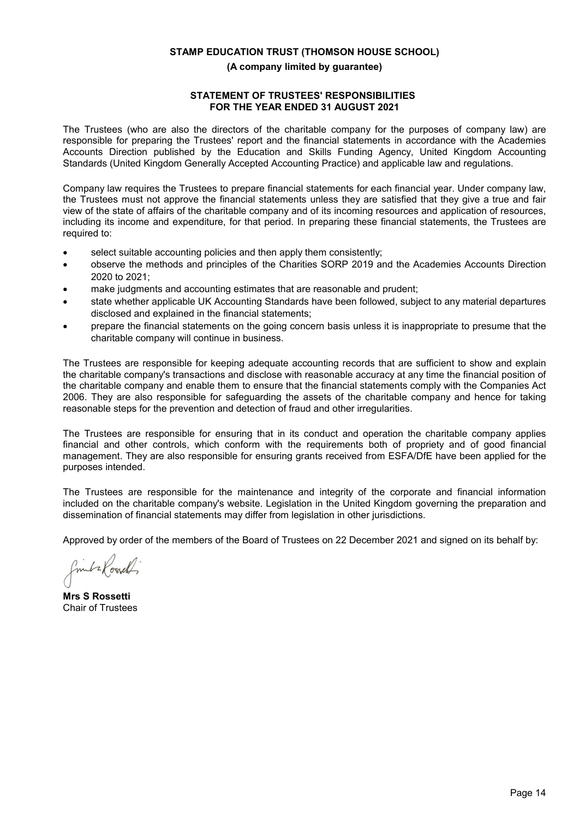# **STATEMENT OF TRUSTEES' RESPONSIBILITIES FOR THE YEAR ENDED 31 AUGUST 2021**

The Trustees (who are also the directors of the charitable company for the purposes of company law) are responsible for preparing the Trustees' report and the financial statements in accordance with the Academies Accounts Direction published by the Education and Skills Funding Agency, United Kingdom Accounting Standards (United Kingdom Generally Accepted Accounting Practice) and applicable law and regulations.

Company law requires the Trustees to prepare financial statements for each financial year. Under company law, the Trustees must not approve the financial statements unless they are satisfied that they give a true and fair view of the state of affairs of the charitable company and of its incoming resources and application of resources, including its income and expenditure, for that period. In preparing these financial statements, the Trustees are required to:

- select suitable accounting policies and then apply them consistently;
- observe the methods and principles of the Charities SORP 2019 and the Academies Accounts Direction 2020 to 2021;
- make judgments and accounting estimates that are reasonable and prudent;
- state whether applicable UK Accounting Standards have been followed, subject to any material departures disclosed and explained in the financial statements;
- prepare the financial statements on the going concern basis unless it is inappropriate to presume that the charitable company will continue in business.

The Trustees are responsible for keeping adequate accounting records that are sufficient to show and explain the charitable company's transactions and disclose with reasonable accuracy at any time the financial position of the charitable company and enable them to ensure that the financial statements comply with the Companies Act 2006. They are also responsible for safeguarding the assets of the charitable company and hence for taking reasonable steps for the prevention and detection of fraud and other irregularities.

The Trustees are responsible for ensuring that in its conduct and operation the charitable company applies financial and other controls, which conform with the requirements both of propriety and of good financial management. They are also responsible for ensuring grants received from ESFA/DfE have been applied for the purposes intended.

The Trustees are responsible for the maintenance and integrity of the corporate and financial information included on the charitable company's website. Legislation in the United Kingdom governing the preparation and dissemination of financial statements may differ from legislation in other jurisdictions.

Approved by order of the members of the Board of Trustees on 22 December 2021 and signed on its behalf by:

finita Rossell

**Mrs S Rossetti** Chair of Trustees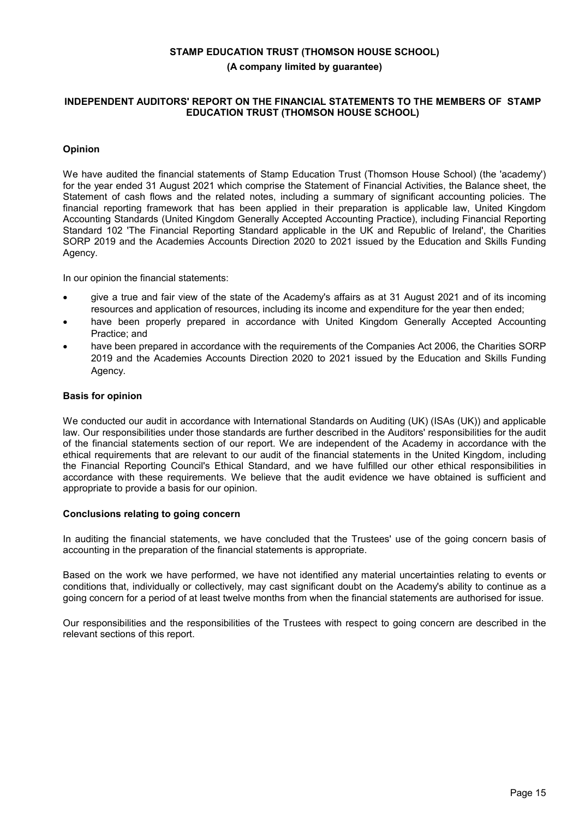## **INDEPENDENT AUDITORS' REPORT ON THE FINANCIAL STATEMENTS TO THE MEMBERS OF STAMP EDUCATION TRUST (THOMSON HOUSE SCHOOL)**

# **Opinion**

We have audited the financial statements of Stamp Education Trust (Thomson House School) (the 'academy') for the year ended 31 August 2021 which comprise the Statement of Financial Activities, the Balance sheet, the Statement of cash flows and the related notes, including a summary of significant accounting policies. The financial reporting framework that has been applied in their preparation is applicable law, United Kingdom Accounting Standards (United Kingdom Generally Accepted Accounting Practice), including Financial Reporting Standard 102 'The Financial Reporting Standard applicable in the UK and Republic of Ireland', the Charities SORP 2019 and the Academies Accounts Direction 2020 to 2021 issued by the Education and Skills Funding Agency.

In our opinion the financial statements:

- give a true and fair view of the state of the Academy's affairs as at 31 August 2021 and of its incoming resources and application of resources, including its income and expenditure for the year then ended;
- have been properly prepared in accordance with United Kingdom Generally Accepted Accounting Practice; and
- have been prepared in accordance with the requirements of the Companies Act 2006, the Charities SORP 2019 and the Academies Accounts Direction 2020 to 2021 issued by the Education and Skills Funding Agency.

#### **Basis for opinion**

We conducted our audit in accordance with International Standards on Auditing (UK) (ISAs (UK)) and applicable law. Our responsibilities under those standards are further described in the Auditors' responsibilities for the audit of the financial statements section of our report. We are independent of the Academy in accordance with the ethical requirements that are relevant to our audit of the financial statements in the United Kingdom, including the Financial Reporting Council's Ethical Standard, and we have fulfilled our other ethical responsibilities in accordance with these requirements. We believe that the audit evidence we have obtained is sufficient and appropriate to provide a basis for our opinion.

#### **Conclusions relating to going concern**

In auditing the financial statements, we have concluded that the Trustees' use of the going concern basis of accounting in the preparation of the financial statements is appropriate.

Based on the work we have performed, we have not identified any material uncertainties relating to events or conditions that, individually or collectively, may cast significant doubt on the Academy's ability to continue as a going concern for a period of at least twelve months from when the financial statements are authorised for issue.

Our responsibilities and the responsibilities of the Trustees with respect to going concern are described in the relevant sections of this report.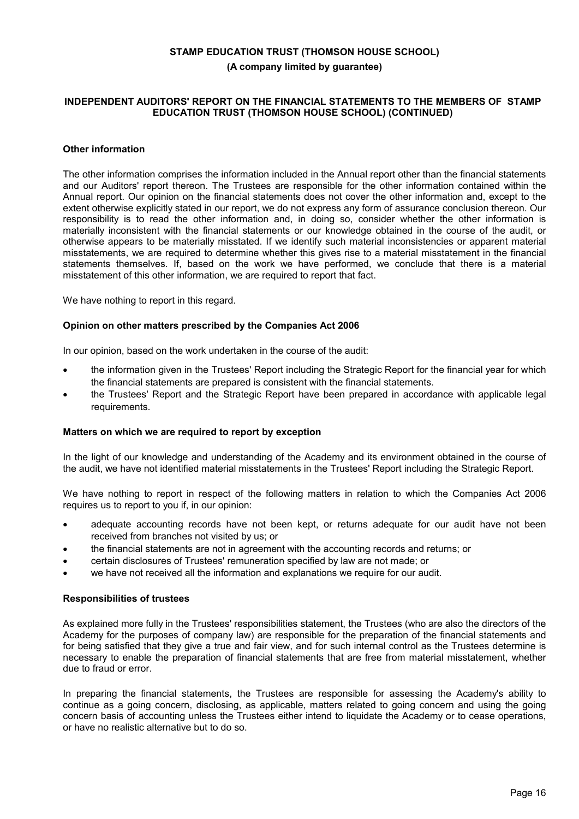## **INDEPENDENT AUDITORS' REPORT ON THE FINANCIAL STATEMENTS TO THE MEMBERS OF STAMP EDUCATION TRUST (THOMSON HOUSE SCHOOL) (CONTINUED)**

## **Other information**

The other information comprises the information included in the Annual report other than the financial statements and our Auditors' report thereon. The Trustees are responsible for the other information contained within the Annual report. Our opinion on the financial statements does not cover the other information and, except to the extent otherwise explicitly stated in our report, we do not express any form of assurance conclusion thereon. Our responsibility is to read the other information and, in doing so, consider whether the other information is materially inconsistent with the financial statements or our knowledge obtained in the course of the audit, or otherwise appears to be materially misstated. If we identify such material inconsistencies or apparent material misstatements, we are required to determine whether this gives rise to a material misstatement in the financial statements themselves. If, based on the work we have performed, we conclude that there is a material misstatement of this other information, we are required to report that fact.

We have nothing to report in this regard.

#### **Opinion on other matters prescribed by the Companies Act 2006**

In our opinion, based on the work undertaken in the course of the audit:

- the information given in the Trustees' Report including the Strategic Report for the financial year for which the financial statements are prepared is consistent with the financial statements.
- the Trustees' Report and the Strategic Report have been prepared in accordance with applicable legal requirements.

#### **Matters on which we are required to report by exception**

In the light of our knowledge and understanding of the Academy and its environment obtained in the course of the audit, we have not identified material misstatements in the Trustees' Report including the Strategic Report.

We have nothing to report in respect of the following matters in relation to which the Companies Act 2006 requires us to report to you if, in our opinion:

- adequate accounting records have not been kept, or returns adequate for our audit have not been received from branches not visited by us; or
- the financial statements are not in agreement with the accounting records and returns; or
- certain disclosures of Trustees' remuneration specified by law are not made; or
- we have not received all the information and explanations we require for our audit.

#### **Responsibilities of trustees**

As explained more fully in the Trustees' responsibilities statement, the Trustees (who are also the directors of the Academy for the purposes of company law) are responsible for the preparation of the financial statements and for being satisfied that they give a true and fair view, and for such internal control as the Trustees determine is necessary to enable the preparation of financial statements that are free from material misstatement, whether due to fraud or error.

In preparing the financial statements, the Trustees are responsible for assessing the Academy's ability to continue as a going concern, disclosing, as applicable, matters related to going concern and using the going concern basis of accounting unless the Trustees either intend to liquidate the Academy or to cease operations, or have no realistic alternative but to do so.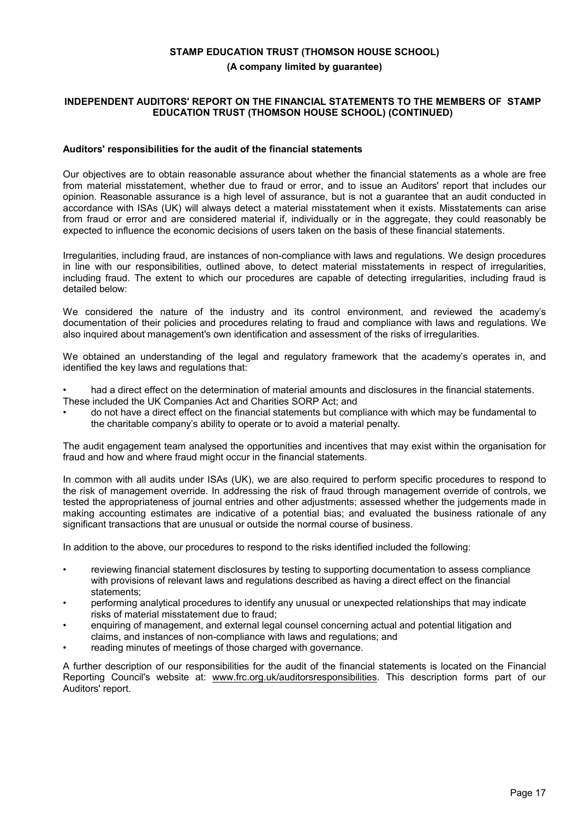## **INDEPENDENT AUDITORS' REPORT ON THE FINANCIAL STATEMENTS TO THE MEMBERS OF STAMP EDUCATION TRUST (THOMSON HOUSE SCHOOL) (CONTINUED)**

#### **Auditors' responsibilities for the audit of the financial statements**

Our objectives are to obtain reasonable assurance about whether the financial statements as a whole are free from material misstatement, whether due to fraud or error, and to issue an Auditors' report that includes our opinion. Reasonable assurance is a high level of assurance, but is not a guarantee that an audit conducted in accordance with ISAs (UK) will always detect a material misstatement when it exists. Misstatements can arise from fraud or error and are considered material if, individually or in the aggregate, they could reasonably be expected to influence the economic decisions of users taken on the basis of these financial statements.

Irregularities, including fraud, are instances of non-compliance with laws and regulations. We design procedures in line with our responsibilities, outlined above, to detect material misstatements in respect of irregularities, including fraud. The extent to which our procedures are capable of detecting irregularities, including fraud is detailed below:

We considered the nature of the industry and its control environment, and reviewed the academy's documentation of their policies and procedures relating to fraud and compliance with laws and regulations. We also inquired about management's own identification and assessment of the risks of irregularities.

We obtained an understanding of the legal and regulatory framework that the academy's operates in, and identified the key laws and regulations that:

- had a direct effect on the determination of material amounts and disclosures in the financial statements. These included the UK Companies Act and Charities SORP Act; and
- do not have a direct effect on the financial statements but compliance with which may be fundamental to the charitable company's ability to operate or to avoid a material penalty.

The audit engagement team analysed the opportunities and incentives that may exist within the organisation for fraud and how and where fraud might occur in the financial statements.

In common with all audits under ISAs (UK), we are also required to perform specific procedures to respond to the risk of management override. In addressing the risk of fraud through management override of controls, we tested the appropriateness of journal entries and other adjustments; assessed whether the judgements made in making accounting estimates are indicative of a potential bias; and evaluated the business rationale of any significant transactions that are unusual or outside the normal course of business.

In addition to the above, our procedures to respond to the risks identified included the following:

- reviewing financial statement disclosures by testing to supporting documentation to assess compliance with provisions of relevant laws and regulations described as having a direct effect on the financial statements;
- performing analytical procedures to identify any unusual or unexpected relationships that may indicate risks of material misstatement due to fraud;
- enquiring of management, and external legal counsel concerning actual and potential litigation and claims, and instances of non-compliance with laws and regulations; and
- reading minutes of meetings of those charged with governance.

A further description of our responsibilities for the audit of the financial statements is located on the Financial Reporting Council's website at: www.frc.org.uk/auditorsresponsibilities. This description forms part of our Auditors' report.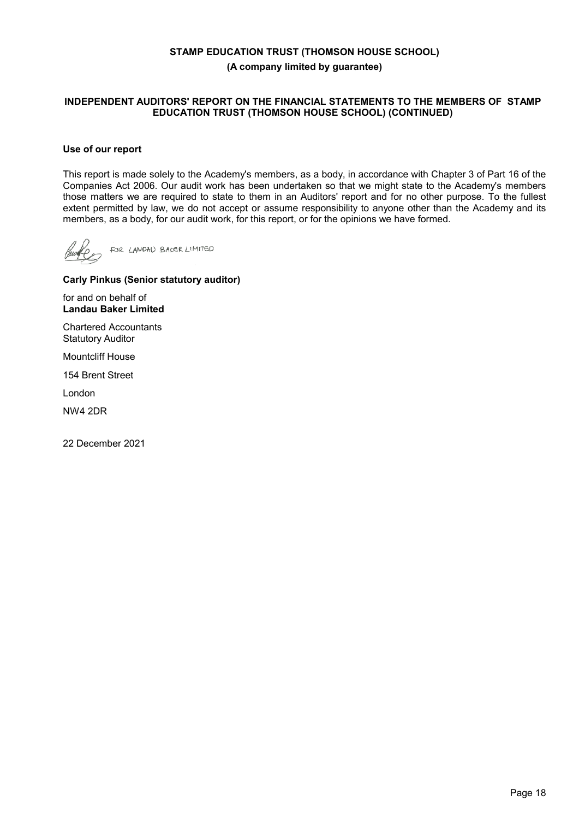## **INDEPENDENT AUDITORS' REPORT ON THE FINANCIAL STATEMENTS TO THE MEMBERS OF STAMP EDUCATION TRUST (THOMSON HOUSE SCHOOL) (CONTINUED)**

## **Use of our report**

This report is made solely to the Academy's members, as a body, in accordance with Chapter 3 of Part 16 of the Companies Act 2006. Our audit work has been undertaken so that we might state to the Academy's members those matters we are required to state to them in an Auditors' report and for no other purpose. To the fullest extent permitted by law, we do not accept or assume responsibility to anyone other than the Academy and its members, as a body, for our audit work, for this report, or for the opinions we have formed.

FOR LANDAU BAKER LIMITED

## **Carly Pinkus (Senior statutory auditor)**

for and on behalf of **Landau Baker Limited**

Chartered Accountants Statutory Auditor

Mountcliff House

154 Brent Street

London

NW4 2DR

22 December 2021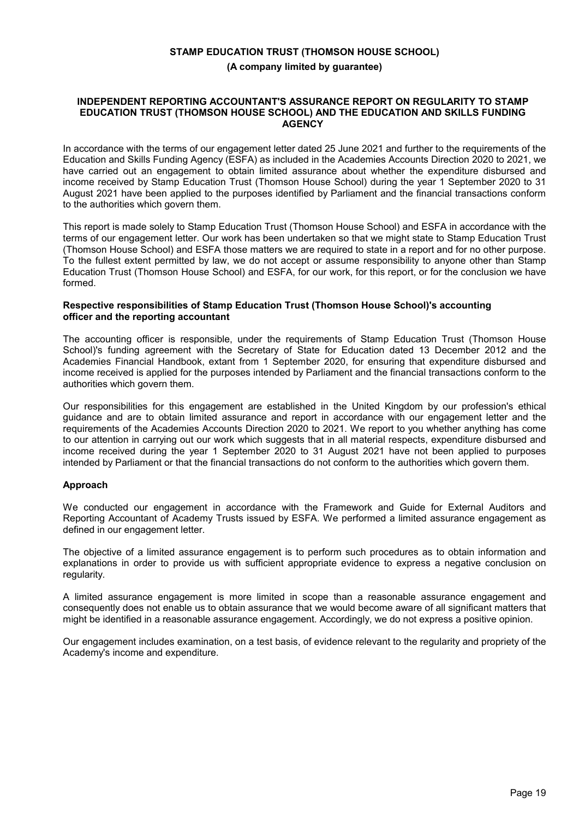## **INDEPENDENT REPORTING ACCOUNTANT'S ASSURANCE REPORT ON REGULARITY TO STAMP EDUCATION TRUST (THOMSON HOUSE SCHOOL) AND THE EDUCATION AND SKILLS FUNDING AGENCY**

In accordance with the terms of our engagement letter dated 25 June 2021 and further to the requirements of the Education and Skills Funding Agency (ESFA) as included in the Academies Accounts Direction 2020 to 2021, we have carried out an engagement to obtain limited assurance about whether the expenditure disbursed and income received by Stamp Education Trust (Thomson House School) during the year 1 September 2020 to 31 August 2021 have been applied to the purposes identified by Parliament and the financial transactions conform to the authorities which govern them.

This report is made solely to Stamp Education Trust (Thomson House School) and ESFA in accordance with the terms of our engagement letter. Our work has been undertaken so that we might state to Stamp Education Trust (Thomson House School) and ESFA those matters we are required to state in a report and for no other purpose. To the fullest extent permitted by law, we do not accept or assume responsibility to anyone other than Stamp Education Trust (Thomson House School) and ESFA, for our work, for this report, or for the conclusion we have formed.

## **Respective responsibilities of Stamp Education Trust (Thomson House School)'s accounting officer and the reporting accountant**

The accounting officer is responsible, under the requirements of Stamp Education Trust (Thomson House School)'s funding agreement with the Secretary of State for Education dated 13 December 2012 and the Academies Financial Handbook, extant from 1 September 2020, for ensuring that expenditure disbursed and income received is applied for the purposes intended by Parliament and the financial transactions conform to the authorities which govern them.

Our responsibilities for this engagement are established in the United Kingdom by our profession's ethical guidance and are to obtain limited assurance and report in accordance with our engagement letter and the requirements of the Academies Accounts Direction 2020 to 2021. We report to you whether anything has come to our attention in carrying out our work which suggests that in all material respects, expenditure disbursed and income received during the year 1 September 2020 to 31 August 2021 have not been applied to purposes intended by Parliament or that the financial transactions do not conform to the authorities which govern them.

## **Approach**

We conducted our engagement in accordance with the Framework and Guide for External Auditors and Reporting Accountant of Academy Trusts issued by ESFA. We performed a limited assurance engagement as defined in our engagement letter.

The objective of a limited assurance engagement is to perform such procedures as to obtain information and explanations in order to provide us with sufficient appropriate evidence to express a negative conclusion on regularity.

A limited assurance engagement is more limited in scope than a reasonable assurance engagement and consequently does not enable us to obtain assurance that we would become aware of all significant matters that might be identified in a reasonable assurance engagement. Accordingly, we do not express a positive opinion.

Our engagement includes examination, on a test basis, of evidence relevant to the regularity and propriety of the Academy's income and expenditure.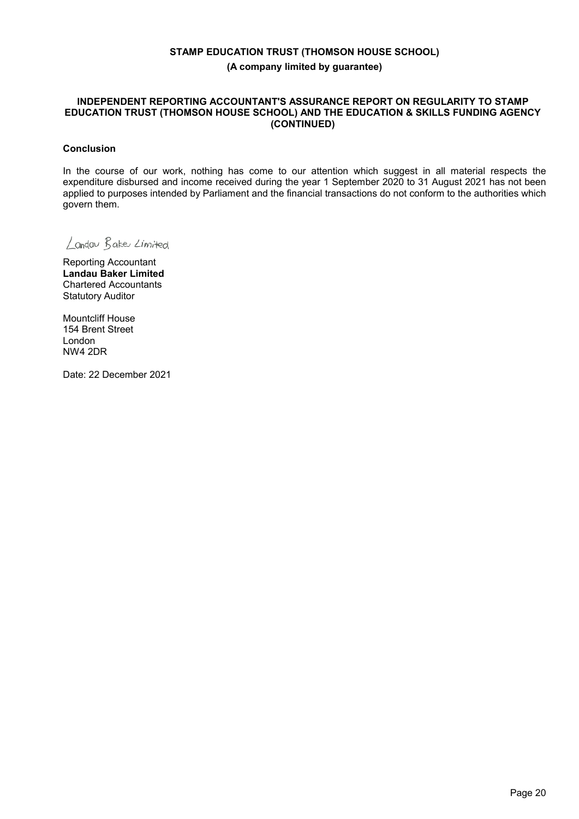## **INDEPENDENT REPORTING ACCOUNTANT'S ASSURANCE REPORT ON REGULARITY TO STAMP EDUCATION TRUST (THOMSON HOUSE SCHOOL) AND THE EDUCATION & SKILLS FUNDING AGENCY (CONTINUED)**

## **Conclusion**

In the course of our work, nothing has come to our attention which suggest in all material respects the expenditure disbursed and income received during the year 1 September 2020 to 31 August 2021 has not been applied to purposes intended by Parliament and the financial transactions do not conform to the authorities which govern them.

Landau Bake Limited

Reporting Accountant **Landau Baker Limited** Chartered Accountants Statutory Auditor

Mountcliff House 154 Brent Street London NW4 2DR

Date: 22 December 2021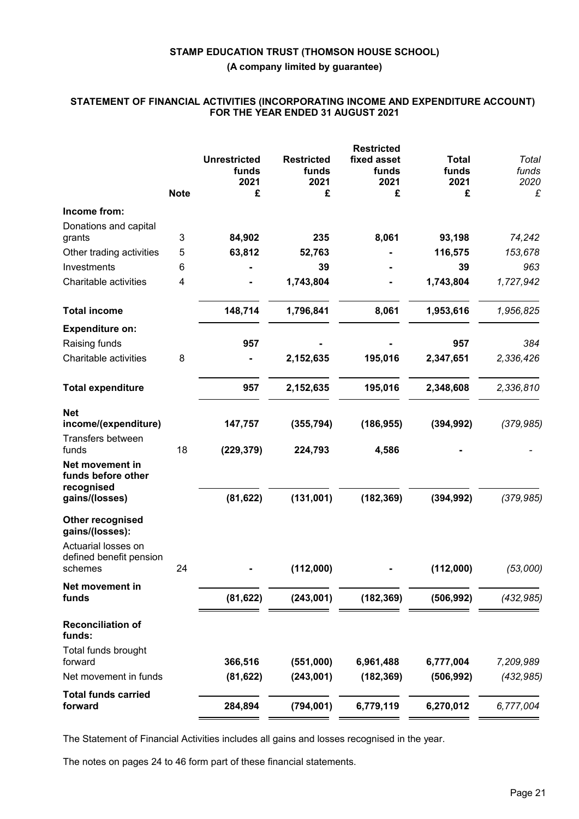## **STATEMENT OF FINANCIAL ACTIVITIES (INCORPORATING INCOME AND EXPENDITURE ACCOUNT) FOR THE YEAR ENDED 31 AUGUST 2021**

|                                                                       | <b>Note</b> | <b>Unrestricted</b><br>funds<br>2021<br>£ | <b>Restricted</b><br>funds<br>2021<br>£ | <b>Restricted</b><br>fixed asset<br>funds<br>2021<br>£ | <b>Total</b><br>funds<br>2021<br>£ | Total<br>funds<br>2020<br>£ |
|-----------------------------------------------------------------------|-------------|-------------------------------------------|-----------------------------------------|--------------------------------------------------------|------------------------------------|-----------------------------|
| Income from:                                                          |             |                                           |                                         |                                                        |                                    |                             |
| Donations and capital<br>grants                                       | 3           | 84,902                                    | 235                                     | 8,061                                                  | 93,198                             | 74,242                      |
| Other trading activities                                              | 5           | 63,812                                    | 52,763                                  |                                                        | 116,575                            | 153,678                     |
| Investments                                                           | 6           |                                           | 39                                      |                                                        | 39                                 | 963                         |
| Charitable activities                                                 | 4           |                                           | 1,743,804                               |                                                        | 1,743,804                          | 1,727,942                   |
| <b>Total income</b>                                                   |             | 148,714                                   | 1,796,841                               | 8,061                                                  | 1,953,616                          | 1,956,825                   |
| <b>Expenditure on:</b>                                                |             |                                           |                                         |                                                        |                                    |                             |
| Raising funds                                                         |             | 957                                       |                                         |                                                        | 957                                | 384                         |
| Charitable activities                                                 | 8           |                                           | 2,152,635                               | 195,016                                                | 2,347,651                          | 2,336,426                   |
| <b>Total expenditure</b>                                              |             | 957                                       | 2,152,635                               | 195,016                                                | 2,348,608                          | 2,336,810                   |
| <b>Net</b><br>income/(expenditure)                                    |             | 147,757                                   | (355, 794)                              | (186, 955)                                             | (394, 992)                         | (379, 985)                  |
| Transfers between<br>funds                                            | 18          | (229, 379)                                | 224,793                                 | 4,586                                                  |                                    |                             |
| Net movement in<br>funds before other<br>recognised<br>gains/(losses) |             | (81, 622)                                 | (131,001)                               | (182, 369)                                             | (394, 992)                         | (379, 985)                  |
| Other recognised<br>gains/(losses):<br>Actuarial losses on            |             |                                           |                                         |                                                        |                                    |                             |
| defined benefit pension<br>schemes                                    | 24          |                                           | (112,000)                               |                                                        | (112,000)                          | (53,000)                    |
| Net movement in<br>funds                                              |             | (81, 622)                                 | (243,001)                               | (182, 369)                                             | (506, 992)                         | (432, 985)                  |
| <b>Reconciliation of</b><br>funds:                                    |             |                                           |                                         |                                                        |                                    |                             |
| Total funds brought                                                   |             |                                           |                                         |                                                        |                                    |                             |
| forward                                                               |             | 366,516                                   | (551,000)                               | 6,961,488                                              | 6,777,004                          | 7,209,989                   |
| Net movement in funds                                                 |             | (81, 622)                                 | (243,001)                               | (182, 369)                                             | (506, 992)                         | (432, 985)                  |
| <b>Total funds carried</b><br>forward                                 |             | 284,894                                   | (794, 001)                              | 6,779,119                                              | 6,270,012                          | 6,777,004                   |

The Statement of Financial Activities includes all gains and losses recognised in the year.

The notes on pages 24 to 46 form part of these financial statements.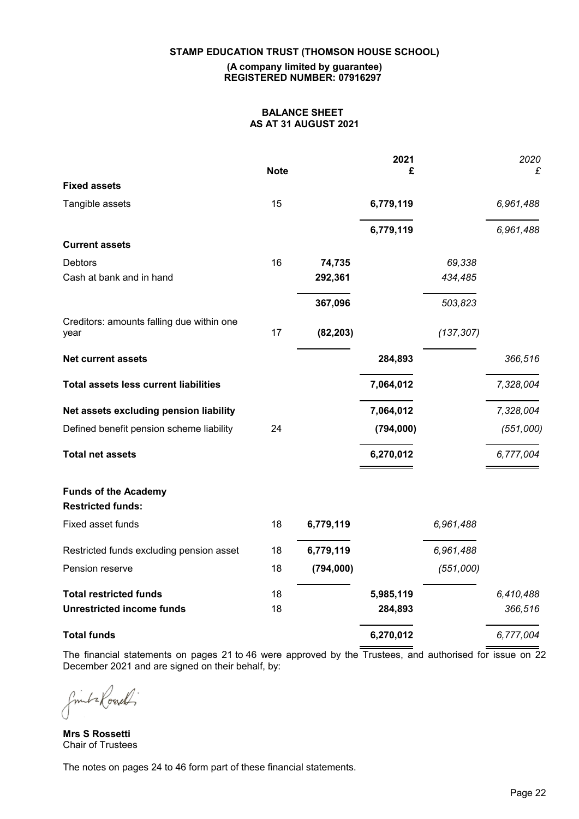## **STAMP EDUCATION TRUST (THOMSON HOUSE SCHOOL)**

#### **(A company limited by guarantee) REGISTERED NUMBER: 07916297**

# **BALANCE SHEET AS AT 31 AUGUST 2021**

|                                                         | <b>Note</b> |           | 2021<br>£ |            | 2020<br>£ |
|---------------------------------------------------------|-------------|-----------|-----------|------------|-----------|
| <b>Fixed assets</b>                                     |             |           |           |            |           |
| Tangible assets                                         | 15          |           | 6,779,119 |            | 6,961,488 |
|                                                         |             |           | 6,779,119 |            | 6,961,488 |
| <b>Current assets</b>                                   |             |           |           |            |           |
| Debtors                                                 | 16          | 74,735    |           | 69,338     |           |
| Cash at bank and in hand                                |             | 292,361   |           | 434,485    |           |
|                                                         |             | 367,096   |           | 503,823    |           |
| Creditors: amounts falling due within one<br>year       | 17          | (82, 203) |           | (137, 307) |           |
| <b>Net current assets</b>                               |             |           | 284,893   |            | 366,516   |
| <b>Total assets less current liabilities</b>            |             |           | 7,064,012 |            | 7,328,004 |
| Net assets excluding pension liability                  |             |           | 7,064,012 |            | 7,328,004 |
| Defined benefit pension scheme liability                | 24          |           | (794,000) |            | (551,000) |
| <b>Total net assets</b>                                 |             |           | 6,270,012 |            | 6,777,004 |
| <b>Funds of the Academy</b><br><b>Restricted funds:</b> |             |           |           |            |           |
| Fixed asset funds                                       | 18          | 6,779,119 |           | 6,961,488  |           |
| Restricted funds excluding pension asset                | 18          | 6,779,119 |           | 6,961,488  |           |
| Pension reserve                                         | 18          | (794,000) |           | (551,000)  |           |
| <b>Total restricted funds</b>                           | 18          |           | 5,985,119 |            | 6,410,488 |
| <b>Unrestricted income funds</b>                        | 18          |           | 284,893   |            | 366,516   |
| <b>Total funds</b>                                      |             |           | 6,270,012 |            | 6,777,004 |

The financial statements on pages 21 to 46 were approved by the Trustees, and authorised for issue on 22 December 2021 and are signed on their behalf, by:

finita Rossell

**Mrs S Rossetti** Chair of Trustees

The notes on pages 24 to 46 form part of these financial statements.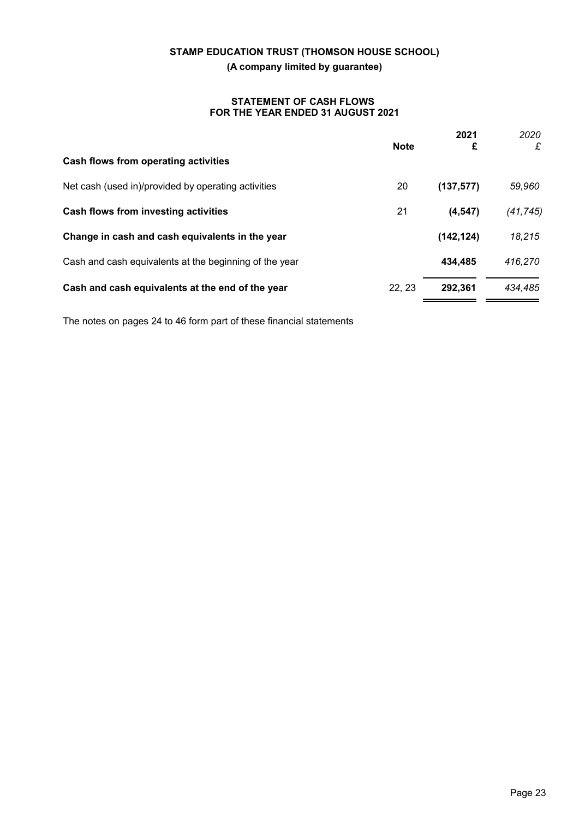## **STATEMENT OF CASH FLOWS FOR THE YEAR ENDED 31 AUGUST 2021**

|                                                        | <b>Note</b> | 2021<br>£  | 2020<br>£ |
|--------------------------------------------------------|-------------|------------|-----------|
| Cash flows from operating activities                   |             |            |           |
| Net cash (used in)/provided by operating activities    | 20          | (137, 577) | 59,960    |
| Cash flows from investing activities                   | 21          | (4, 547)   | (41, 745) |
| Change in cash and cash equivalents in the year        |             | (142, 124) | 18,215    |
| Cash and cash equivalents at the beginning of the year |             | 434,485    | 416,270   |
| Cash and cash equivalents at the end of the year       | 22.23       | 292.361    | 434,485   |

The notes on pages 24 to 46 form part of these financial statements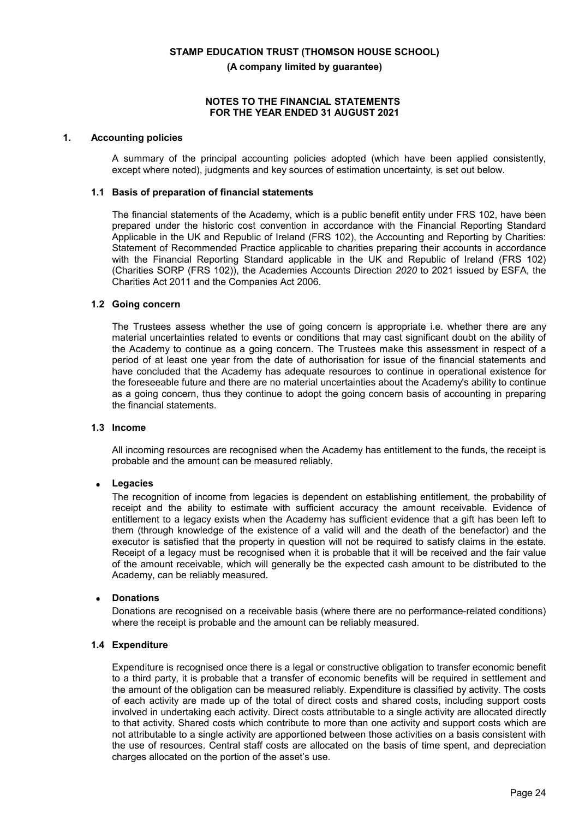#### **NOTES TO THE FINANCIAL STATEMENTS FOR THE YEAR ENDED 31 AUGUST 2021**

#### **1. Accounting policies**

A summary of the principal accounting policies adopted (which have been applied consistently, except where noted), judgments and key sources of estimation uncertainty, is set out below.

#### **1.1 Basis of preparation of financial statements**

The financial statements of the Academy, which is a public benefit entity under FRS 102, have been prepared under the historic cost convention in accordance with the Financial Reporting Standard Applicable in the UK and Republic of Ireland (FRS 102), the Accounting and Reporting by Charities: Statement of Recommended Practice applicable to charities preparing their accounts in accordance with the Financial Reporting Standard applicable in the UK and Republic of Ireland (FRS 102) (Charities SORP (FRS 102)), the Academies Accounts Direction *2020* to 2021 issued by ESFA, the Charities Act 2011 and the Companies Act 2006.

#### **1.2 Going concern**

The Trustees assess whether the use of going concern is appropriate i.e. whether there are any material uncertainties related to events or conditions that may cast significant doubt on the ability of the Academy to continue as a going concern. The Trustees make this assessment in respect of a period of at least one year from the date of authorisation for issue of the financial statements and have concluded that the Academy has adequate resources to continue in operational existence for the foreseeable future and there are no material uncertainties about the Academy's ability to continue as a going concern, thus they continue to adopt the going concern basis of accounting in preparing the financial statements.

#### **1.3 Income**

All incoming resources are recognised when the Academy has entitlement to the funds, the receipt is probable and the amount can be measured reliably.

## **Legacies**

The recognition of income from legacies is dependent on establishing entitlement, the probability of receipt and the ability to estimate with sufficient accuracy the amount receivable. Evidence of entitlement to a legacy exists when the Academy has sufficient evidence that a gift has been left to them (through knowledge of the existence of a valid will and the death of the benefactor) and the executor is satisfied that the property in question will not be required to satisfy claims in the estate. Receipt of a legacy must be recognised when it is probable that it will be received and the fair value of the amount receivable, which will generally be the expected cash amount to be distributed to the Academy, can be reliably measured.

#### **Donations**

Donations are recognised on a receivable basis (where there are no performance-related conditions) where the receipt is probable and the amount can be reliably measured.

## **1.4 Expenditure**

Expenditure is recognised once there is a legal or constructive obligation to transfer economic benefit to a third party, it is probable that a transfer of economic benefits will be required in settlement and the amount of the obligation can be measured reliably. Expenditure is classified by activity. The costs of each activity are made up of the total of direct costs and shared costs, including support costs involved in undertaking each activity. Direct costs attributable to a single activity are allocated directly to that activity. Shared costs which contribute to more than one activity and support costs which are not attributable to a single activity are apportioned between those activities on a basis consistent with the use of resources. Central staff costs are allocated on the basis of time spent, and depreciation charges allocated on the portion of the asset's use.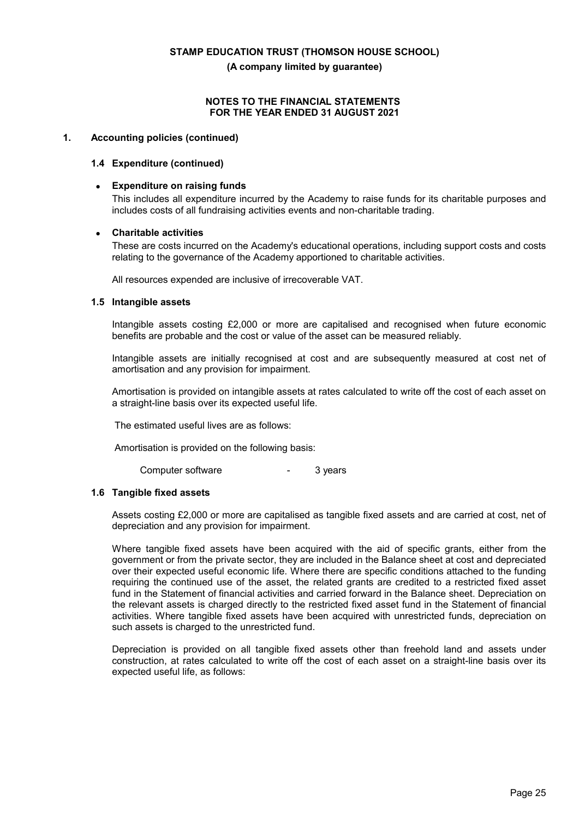#### **NOTES TO THE FINANCIAL STATEMENTS FOR THE YEAR ENDED 31 AUGUST 2021**

## **1. Accounting policies (continued)**

#### **1.4 Expenditure (continued)**

#### **Expenditure on raising funds**

This includes all expenditure incurred by the Academy to raise funds for its charitable purposes and includes costs of all fundraising activities events and non-charitable trading.

#### **Charitable activities**

These are costs incurred on the Academy's educational operations, including support costs and costs relating to the governance of the Academy apportioned to charitable activities.

All resources expended are inclusive of irrecoverable VAT.

#### **1.5 Intangible assets**

Intangible assets costing £2,000 or more are capitalised and recognised when future economic benefits are probable and the cost or value of the asset can be measured reliably.

Intangible assets are initially recognised at cost and are subsequently measured at cost net of amortisation and any provision for impairment.

Amortisation is provided on intangible assets at rates calculated to write off the cost of each asset on a straight-line basis over its expected useful life.

The estimated useful lives are as follows:

Amortisation is provided on the following basis:

Computer software - 3 years

#### **1.6 Tangible fixed assets**

Assets costing £2,000 or more are capitalised as tangible fixed assets and are carried at cost, net of depreciation and any provision for impairment.

Where tangible fixed assets have been acquired with the aid of specific grants, either from the government or from the private sector, they are included in the Balance sheet at cost and depreciated over their expected useful economic life. Where there are specific conditions attached to the funding requiring the continued use of the asset, the related grants are credited to a restricted fixed asset fund in the Statement of financial activities and carried forward in the Balance sheet. Depreciation on the relevant assets is charged directly to the restricted fixed asset fund in the Statement of financial activities. Where tangible fixed assets have been acquired with unrestricted funds, depreciation on such assets is charged to the unrestricted fund.

Depreciation is provided on all tangible fixed assets other than freehold land and assets under construction, at rates calculated to write off the cost of each asset on a straight-line basis over its expected useful life, as follows: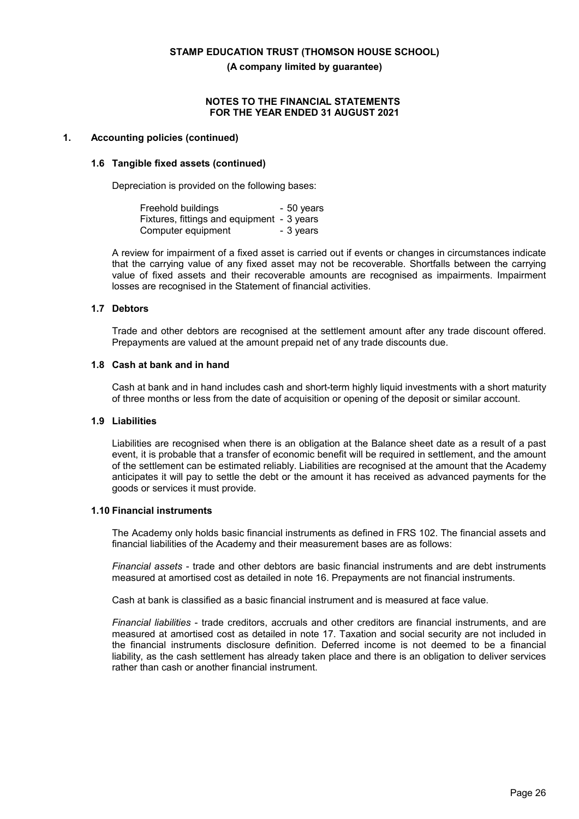#### **NOTES TO THE FINANCIAL STATEMENTS FOR THE YEAR ENDED 31 AUGUST 2021**

#### **1. Accounting policies (continued)**

#### **1.6 Tangible fixed assets (continued)**

Depreciation is provided on the following bases:

| Freehold buildings                         | - 50 years |
|--------------------------------------------|------------|
| Fixtures, fittings and equipment - 3 years |            |
| Computer equipment                         | - 3 years  |

A review for impairment of a fixed asset is carried out if events or changes in circumstances indicate that the carrying value of any fixed asset may not be recoverable. Shortfalls between the carrying value of fixed assets and their recoverable amounts are recognised as impairments. Impairment losses are recognised in the Statement of financial activities.

#### **1.7 Debtors**

Trade and other debtors are recognised at the settlement amount after any trade discount offered. Prepayments are valued at the amount prepaid net of any trade discounts due.

## **1.8 Cash at bank and in hand**

Cash at bank and in hand includes cash and short-term highly liquid investments with a short maturity of three months or less from the date of acquisition or opening of the deposit or similar account.

#### **1.9 Liabilities**

Liabilities are recognised when there is an obligation at the Balance sheet date as a result of a past event, it is probable that a transfer of economic benefit will be required in settlement, and the amount of the settlement can be estimated reliably. Liabilities are recognised at the amount that the Academy anticipates it will pay to settle the debt or the amount it has received as advanced payments for the goods or services it must provide.

#### **1.10 Financial instruments**

The Academy only holds basic financial instruments as defined in FRS 102. The financial assets and financial liabilities of the Academy and their measurement bases are as follows:

*Financial assets* - trade and other debtors are basic financial instruments and are debt instruments measured at amortised cost as detailed in note 16. Prepayments are not financial instruments.

Cash at bank is classified as a basic financial instrument and is measured at face value.

*Financial liabilities* - trade creditors, accruals and other creditors are financial instruments, and are measured at amortised cost as detailed in note 17. Taxation and social security are not included in the financial instruments disclosure definition. Deferred income is not deemed to be a financial liability, as the cash settlement has already taken place and there is an obligation to deliver services rather than cash or another financial instrument.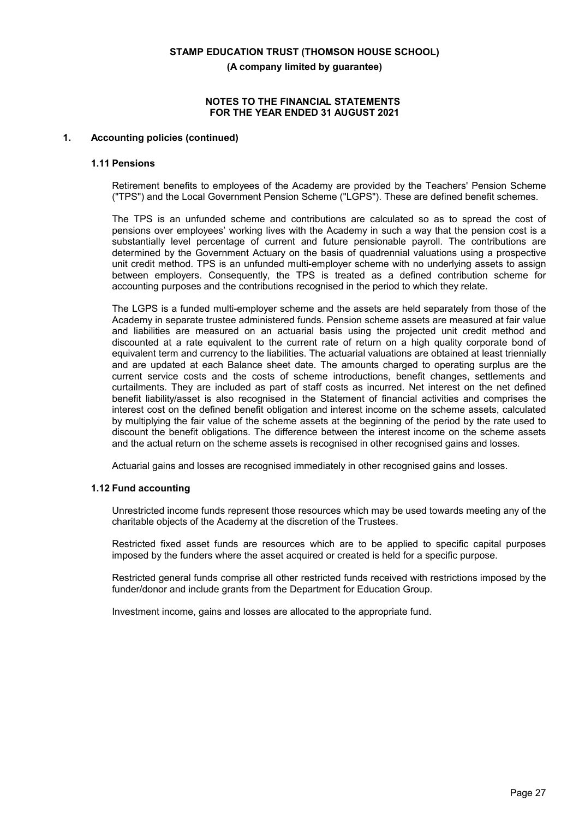#### **NOTES TO THE FINANCIAL STATEMENTS FOR THE YEAR ENDED 31 AUGUST 2021**

#### **1. Accounting policies (continued)**

#### **1.11 Pensions**

Retirement benefits to employees of the Academy are provided by the Teachers' Pension Scheme ("TPS") and the Local Government Pension Scheme ("LGPS"). These are defined benefit schemes.

The TPS is an unfunded scheme and contributions are calculated so as to spread the cost of pensions over employees' working lives with the Academy in such a way that the pension cost is a substantially level percentage of current and future pensionable payroll. The contributions are determined by the Government Actuary on the basis of quadrennial valuations using a prospective unit credit method. TPS is an unfunded multi-employer scheme with no underlying assets to assign between employers. Consequently, the TPS is treated as a defined contribution scheme for accounting purposes and the contributions recognised in the period to which they relate.

The LGPS is a funded multi-employer scheme and the assets are held separately from those of the Academy in separate trustee administered funds. Pension scheme assets are measured at fair value and liabilities are measured on an actuarial basis using the projected unit credit method and discounted at a rate equivalent to the current rate of return on a high quality corporate bond of equivalent term and currency to the liabilities. The actuarial valuations are obtained at least triennially and are updated at each Balance sheet date. The amounts charged to operating surplus are the current service costs and the costs of scheme introductions, benefit changes, settlements and curtailments. They are included as part of staff costs as incurred. Net interest on the net defined benefit liability/asset is also recognised in the Statement of financial activities and comprises the interest cost on the defined benefit obligation and interest income on the scheme assets, calculated by multiplying the fair value of the scheme assets at the beginning of the period by the rate used to discount the benefit obligations. The difference between the interest income on the scheme assets and the actual return on the scheme assets is recognised in other recognised gains and losses.

Actuarial gains and losses are recognised immediately in other recognised gains and losses.

#### **1.12 Fund accounting**

Unrestricted income funds represent those resources which may be used towards meeting any of the charitable objects of the Academy at the discretion of the Trustees.

Restricted fixed asset funds are resources which are to be applied to specific capital purposes imposed by the funders where the asset acquired or created is held for a specific purpose.

Restricted general funds comprise all other restricted funds received with restrictions imposed by the funder/donor and include grants from the Department for Education Group.

Investment income, gains and losses are allocated to the appropriate fund.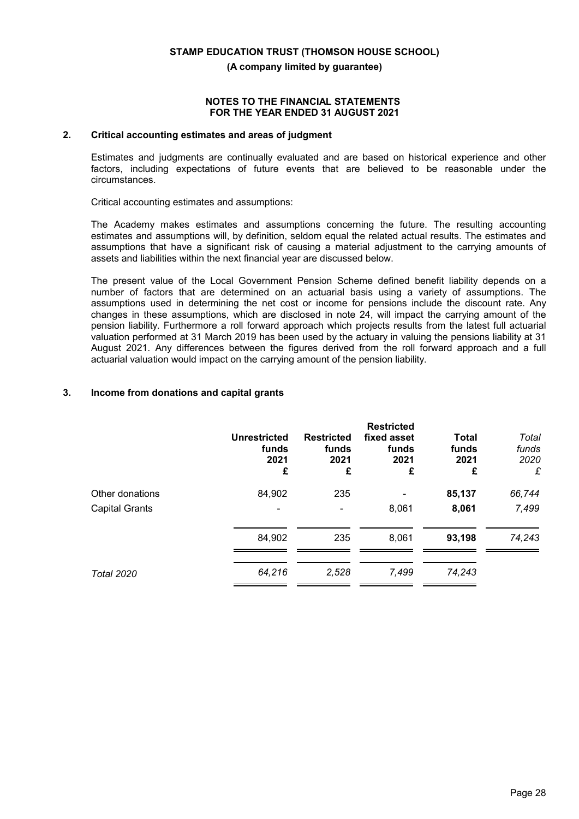#### **NOTES TO THE FINANCIAL STATEMENTS FOR THE YEAR ENDED 31 AUGUST 2021**

## **2. Critical accounting estimates and areas of judgment**

Estimates and judgments are continually evaluated and are based on historical experience and other factors, including expectations of future events that are believed to be reasonable under the circumstances.

Critical accounting estimates and assumptions:

The Academy makes estimates and assumptions concerning the future. The resulting accounting estimates and assumptions will, by definition, seldom equal the related actual results. The estimates and assumptions that have a significant risk of causing a material adjustment to the carrying amounts of assets and liabilities within the next financial year are discussed below.

The present value of the Local Government Pension Scheme defined benefit liability depends on a number of factors that are determined on an actuarial basis using a variety of assumptions. The assumptions used in determining the net cost or income for pensions include the discount rate. Any changes in these assumptions, which are disclosed in note 24, will impact the carrying amount of the pension liability. Furthermore a roll forward approach which projects results from the latest full actuarial valuation performed at 31 March 2019 has been used by the actuary in valuing the pensions liability at 31 August 2021. Any differences between the figures derived from the roll forward approach and a full actuarial valuation would impact on the carrying amount of the pension liability.

## **3. Income from donations and capital grants**

|                       | <b>Unrestricted</b><br>funds<br>2021<br>£ | <b>Restricted</b><br>funds<br>2021<br>£ | <b>Restricted</b><br>fixed asset<br>funds<br>2021<br>£ | <b>Total</b><br>funds<br>2021<br>£ | Total<br>funds<br>2020<br>£ |
|-----------------------|-------------------------------------------|-----------------------------------------|--------------------------------------------------------|------------------------------------|-----------------------------|
| Other donations       | 84,902                                    | 235                                     |                                                        | 85,137                             | 66,744                      |
| <b>Capital Grants</b> |                                           |                                         | 8,061                                                  | 8,061                              | 7,499                       |
|                       | 84,902                                    | 235                                     | 8,061                                                  | 93,198                             | 74,243                      |
| <b>Total 2020</b>     | 64,216                                    | 2,528                                   | 7,499                                                  | 74,243                             |                             |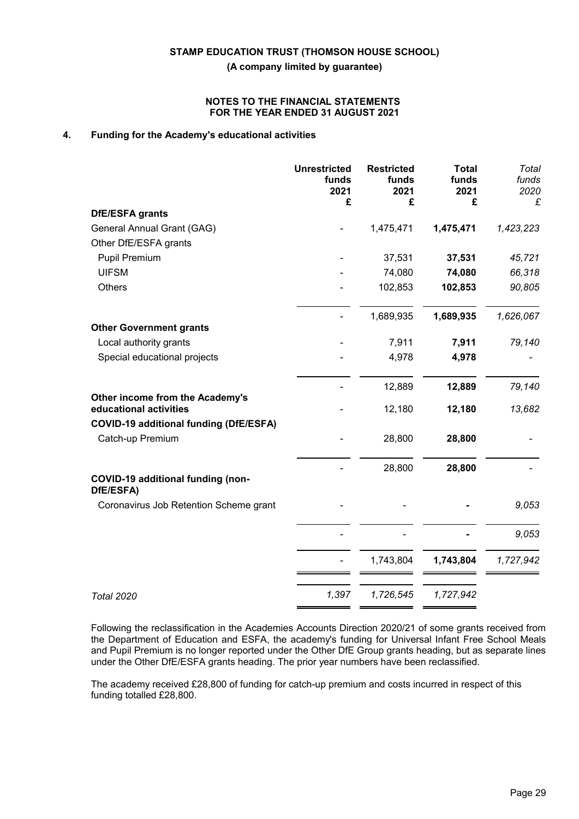#### **NOTES TO THE FINANCIAL STATEMENTS FOR THE YEAR ENDED 31 AUGUST 2021**

# **4. Funding for the Academy's educational activities**

|                                                           | <b>Unrestricted</b><br>funds<br>2021<br>£ | <b>Restricted</b><br>funds<br>2021<br>£ | <b>Total</b><br>funds<br>2021<br>£ | Total<br>funds<br>2020<br>£ |
|-----------------------------------------------------------|-------------------------------------------|-----------------------------------------|------------------------------------|-----------------------------|
| DfE/ESFA grants                                           |                                           |                                         |                                    |                             |
| General Annual Grant (GAG)                                |                                           | 1,475,471                               | 1,475,471                          | 1,423,223                   |
| Other DfE/ESFA grants                                     |                                           |                                         |                                    |                             |
| <b>Pupil Premium</b>                                      |                                           | 37,531                                  | 37,531                             | 45,721                      |
| <b>UIFSM</b>                                              |                                           | 74,080                                  | 74,080                             | 66,318                      |
| Others                                                    |                                           | 102,853                                 | 102,853                            | 90,805                      |
|                                                           |                                           | 1,689,935                               | 1,689,935                          | 1,626,067                   |
| <b>Other Government grants</b>                            |                                           |                                         |                                    |                             |
| Local authority grants                                    |                                           | 7,911                                   | 7,911                              | 79,140                      |
| Special educational projects                              |                                           | 4,978                                   | 4,978                              |                             |
|                                                           |                                           | 12,889                                  | 12,889                             | 79,140                      |
| Other income from the Academy's<br>educational activities |                                           | 12,180                                  | 12,180                             | 13,682                      |
| <b>COVID-19 additional funding (DfE/ESFA)</b>             |                                           |                                         |                                    |                             |
| Catch-up Premium                                          |                                           | 28,800                                  | 28,800                             |                             |
| COVID-19 additional funding (non-<br>DfE/ESFA)            |                                           | 28,800                                  | 28,800                             |                             |
| Coronavirus Job Retention Scheme grant                    |                                           |                                         |                                    | 9,053                       |
|                                                           |                                           |                                         |                                    | 9,053                       |
|                                                           |                                           | 1,743,804                               | 1,743,804                          | 1,727,942                   |
| <b>Total 2020</b>                                         | 1,397                                     | 1,726,545                               | 1,727,942                          |                             |

Following the reclassification in the Academies Accounts Direction 2020/21 of some grants received from the Department of Education and ESFA, the academy's funding for Universal Infant Free School Meals and Pupil Premium is no longer reported under the Other DfE Group grants heading, but as separate lines under the Other DfE/ESFA grants heading. The prior year numbers have been reclassified.

The academy received £28,800 of funding for catch-up premium and costs incurred in respect of this funding totalled £28,800.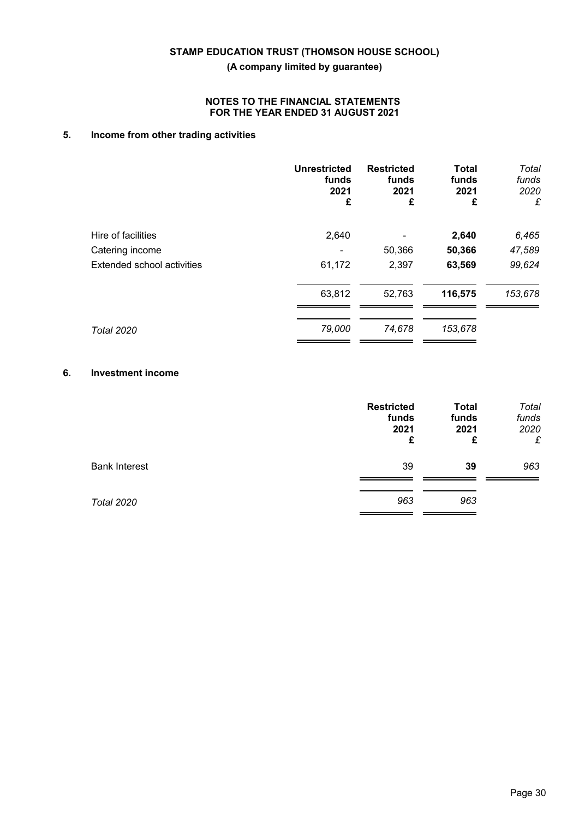## **NOTES TO THE FINANCIAL STATEMENTS FOR THE YEAR ENDED 31 AUGUST 2021**

# **5. Income from other trading activities**

|                                   | <b>Unrestricted</b><br>funds<br>2021<br>£ | <b>Restricted</b><br>funds<br>2021<br>£ | <b>Total</b><br>funds<br>2021<br>£ | Total<br>funds<br>2020<br>£ |
|-----------------------------------|-------------------------------------------|-----------------------------------------|------------------------------------|-----------------------------|
| Hire of facilities                | 2,640                                     |                                         | 2,640                              | 6,465                       |
| Catering income                   |                                           | 50,366                                  | 50,366                             | 47,589                      |
| <b>Extended school activities</b> | 61,172                                    | 2,397                                   | 63,569                             | 99,624                      |
|                                   | 63,812                                    | 52,763                                  | 116,575                            | 153,678                     |
| <b>Total 2020</b>                 | 79,000                                    | 74,678                                  | 153,678                            |                             |

# **6. Investment income**

|                      | <b>Restricted</b><br>funds<br>2021<br>£ | <b>Total</b><br>funds<br>2021<br>£ | Total<br>funds<br>2020<br>£ |
|----------------------|-----------------------------------------|------------------------------------|-----------------------------|
| <b>Bank Interest</b> | 39                                      | 39                                 | 963                         |
| <b>Total 2020</b>    | 963                                     | 963                                |                             |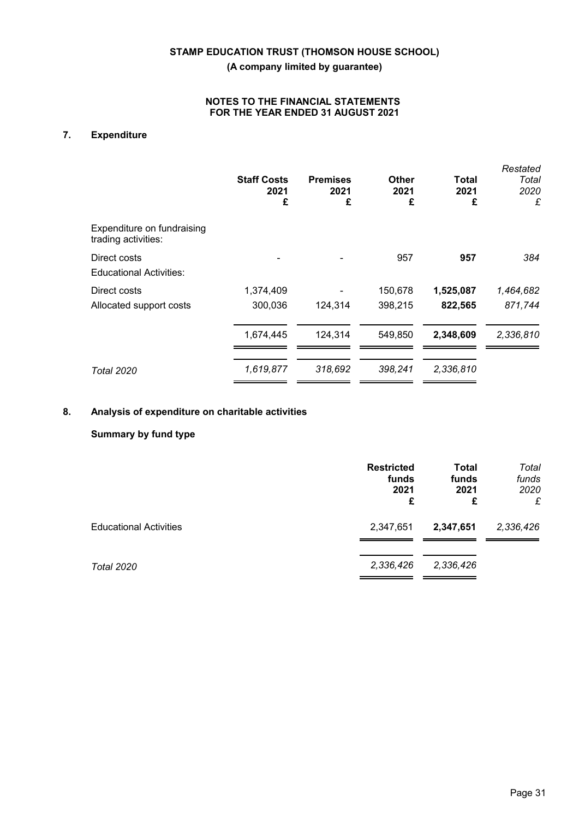## **NOTES TO THE FINANCIAL STATEMENTS FOR THE YEAR ENDED 31 AUGUST 2021**

# **7. Expenditure**

|                                                   | <b>Staff Costs</b><br>2021<br>£ | <b>Premises</b><br>2021<br>£ | Other<br>2021<br>£ | Total<br>2021<br>£ | Restated<br>Total<br>2020<br>£ |
|---------------------------------------------------|---------------------------------|------------------------------|--------------------|--------------------|--------------------------------|
| Expenditure on fundraising<br>trading activities: |                                 |                              |                    |                    |                                |
| Direct costs<br><b>Educational Activities:</b>    |                                 |                              | 957                | 957                | 384                            |
| Direct costs                                      | 1,374,409                       |                              | 150,678            | 1,525,087          | 1,464,682                      |
| Allocated support costs                           | 300,036                         | 124,314                      | 398,215            | 822,565            | 871,744                        |
|                                                   | 1,674,445                       | 124,314                      | 549,850            | 2,348,609          | 2,336,810                      |
| <b>Total 2020</b>                                 | 1,619,877                       | 318,692                      | 398.241            | 2,336,810          |                                |

# **8. Analysis of expenditure on charitable activities**

## **Summary by fund type**

|                               | <b>Restricted</b><br>funds<br>2021<br>£ | <b>Total</b><br>funds<br>2021<br>£ | Total<br>funds<br>2020<br>£ |
|-------------------------------|-----------------------------------------|------------------------------------|-----------------------------|
| <b>Educational Activities</b> | 2,347,651                               | 2,347,651                          | 2,336,426                   |
| <b>Total 2020</b>             | 2,336,426                               | 2,336,426                          |                             |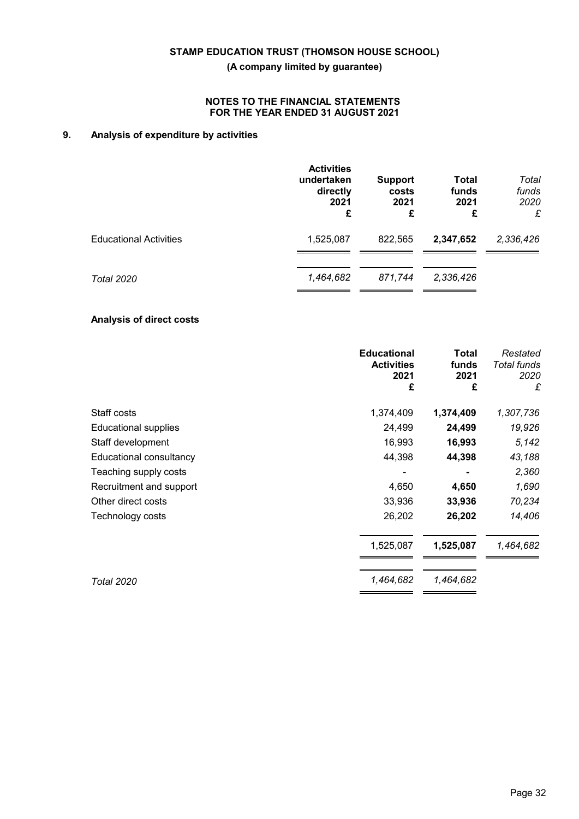## **NOTES TO THE FINANCIAL STATEMENTS FOR THE YEAR ENDED 31 AUGUST 2021**

# **9. Analysis of expenditure by activities**

|                               | <b>Activities</b><br>undertaken<br>directly<br>2021<br>£ | <b>Support</b><br>costs<br>2021<br>£ | <b>Total</b><br>funds<br>2021<br>£ | Total<br>funds<br>2020<br>£ |
|-------------------------------|----------------------------------------------------------|--------------------------------------|------------------------------------|-----------------------------|
| <b>Educational Activities</b> | 1,525,087                                                | 822,565                              | 2,347,652                          | 2,336,426                   |
| Total 2020                    | 1,464,682                                                | 871,744                              | 2,336,426                          |                             |

## **Analysis of direct costs**

|                             | <b>Educational</b><br><b>Activities</b><br>2021<br>£ | Total<br>funds<br>2021<br>£ | Restated<br><b>Total funds</b><br>2020<br>£ |
|-----------------------------|------------------------------------------------------|-----------------------------|---------------------------------------------|
| Staff costs                 | 1,374,409                                            | 1,374,409                   | 1,307,736                                   |
| <b>Educational supplies</b> | 24,499                                               | 24,499                      | 19,926                                      |
| Staff development           | 16,993                                               | 16,993                      | 5,142                                       |
| Educational consultancy     | 44,398                                               | 44,398                      | 43,188                                      |
| Teaching supply costs       |                                                      |                             | 2,360                                       |
| Recruitment and support     | 4,650                                                | 4,650                       | 1,690                                       |
| Other direct costs          | 33,936                                               | 33,936                      | 70,234                                      |
| Technology costs            | 26,202                                               | 26,202                      | 14,406                                      |
|                             | 1,525,087                                            | 1,525,087                   | 1,464,682                                   |
| <b>Total 2020</b>           | 1,464,682                                            | 1,464,682                   |                                             |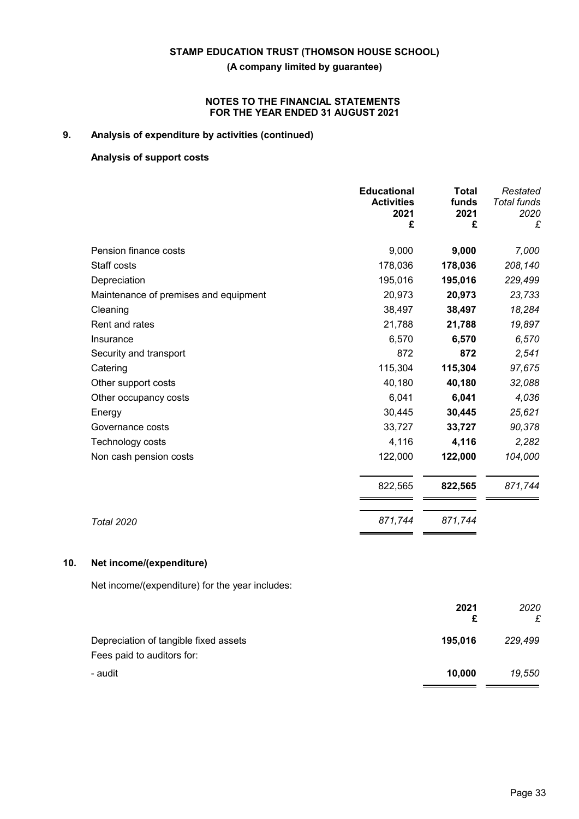## **NOTES TO THE FINANCIAL STATEMENTS FOR THE YEAR ENDED 31 AUGUST 2021**

# **9. Analysis of expenditure by activities (continued)**

## **Analysis of support costs**

|                                       | <b>Educational</b><br><b>Activities</b><br>2021<br>£ | <b>Total</b><br>funds<br>2021<br>£ | Restated<br><b>Total funds</b><br>2020<br>£ |
|---------------------------------------|------------------------------------------------------|------------------------------------|---------------------------------------------|
| Pension finance costs                 | 9,000                                                | 9,000                              | 7,000                                       |
| Staff costs                           | 178,036                                              | 178,036                            | 208,140                                     |
| Depreciation                          | 195,016                                              | 195,016                            | 229,499                                     |
| Maintenance of premises and equipment | 20,973                                               | 20,973                             | 23,733                                      |
| Cleaning                              | 38,497                                               | 38,497                             | 18,284                                      |
| Rent and rates                        | 21,788                                               | 21,788                             | 19,897                                      |
| Insurance                             | 6,570                                                | 6,570                              | 6,570                                       |
| Security and transport                | 872                                                  | 872                                | 2,541                                       |
| Catering                              | 115,304                                              | 115,304                            | 97,675                                      |
| Other support costs                   | 40,180                                               | 40,180                             | 32,088                                      |
| Other occupancy costs                 | 6,041                                                | 6,041                              | 4,036                                       |
| Energy                                | 30,445                                               | 30,445                             | 25,621                                      |
| Governance costs                      | 33,727                                               | 33,727                             | 90,378                                      |
| Technology costs                      | 4,116                                                | 4,116                              | 2,282                                       |
| Non cash pension costs                | 122,000                                              | 122,000                            | 104,000                                     |
|                                       | 822,565                                              | 822,565                            | 871,744                                     |
| <b>Total 2020</b>                     | 871,744                                              | 871,744                            |                                             |

## **10. Net income/(expenditure)**

Net income/(expenditure) for the year includes:

|                                                                     | 2021<br>£ | 2020<br>£ |
|---------------------------------------------------------------------|-----------|-----------|
| Depreciation of tangible fixed assets<br>Fees paid to auditors for: | 195,016   | 229,499   |
| - audit                                                             | 10,000    | 19,550    |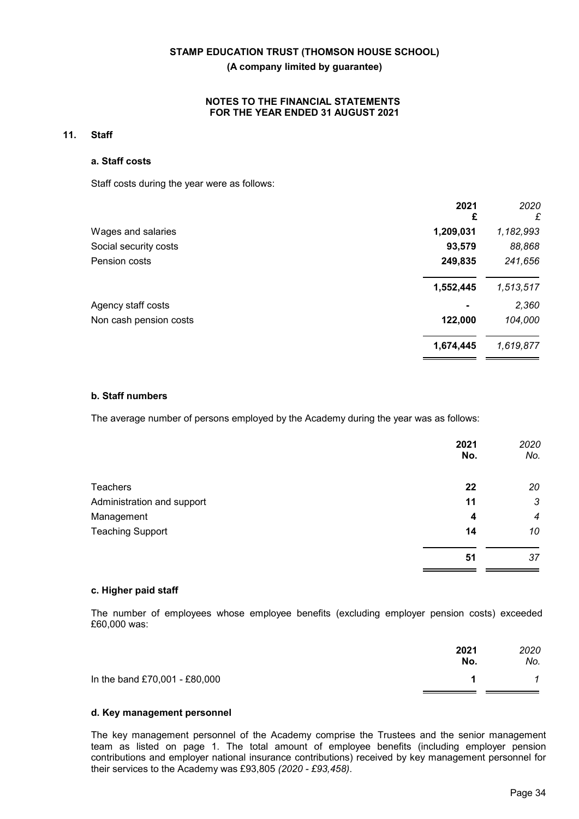## **NOTES TO THE FINANCIAL STATEMENTS FOR THE YEAR ENDED 31 AUGUST 2021**

#### **11. Staff**

#### **a. Staff costs**

Staff costs during the year were as follows:

|                        | 2021<br>£ | 2020<br>£ |
|------------------------|-----------|-----------|
| Wages and salaries     | 1,209,031 | 1,182,993 |
| Social security costs  | 93,579    | 88,868    |
| Pension costs          | 249,835   | 241,656   |
|                        | 1,552,445 | 1,513,517 |
| Agency staff costs     |           | 2,360     |
| Non cash pension costs | 122,000   | 104,000   |
|                        | 1,674,445 | 1,619,877 |
|                        |           |           |

#### **b. Staff numbers**

The average number of persons employed by the Academy during the year was as follows:

|                            | 2021<br>No. | 2020<br>No.      |
|----------------------------|-------------|------------------|
| <b>Teachers</b>            | 22          | 20               |
| Administration and support | 11          | 3                |
| Management                 | 4           | $\boldsymbol{4}$ |
| <b>Teaching Support</b>    | 14          | 10               |
|                            | 51          | 37               |

## **c. Higher paid staff**

The number of employees whose employee benefits (excluding employer pension costs) exceeded £60,000 was:

|                               | 2021<br>No. | 2020<br>No. |
|-------------------------------|-------------|-------------|
| In the band £70,001 - £80,000 |             |             |

## **d. Key management personnel**

The key management personnel of the Academy comprise the Trustees and the senior management team as listed on page 1. The total amount of employee benefits (including employer pension contributions and employer national insurance contributions) received by key management personnel for their services to the Academy was £93,805 *(2020 - £93,458)*.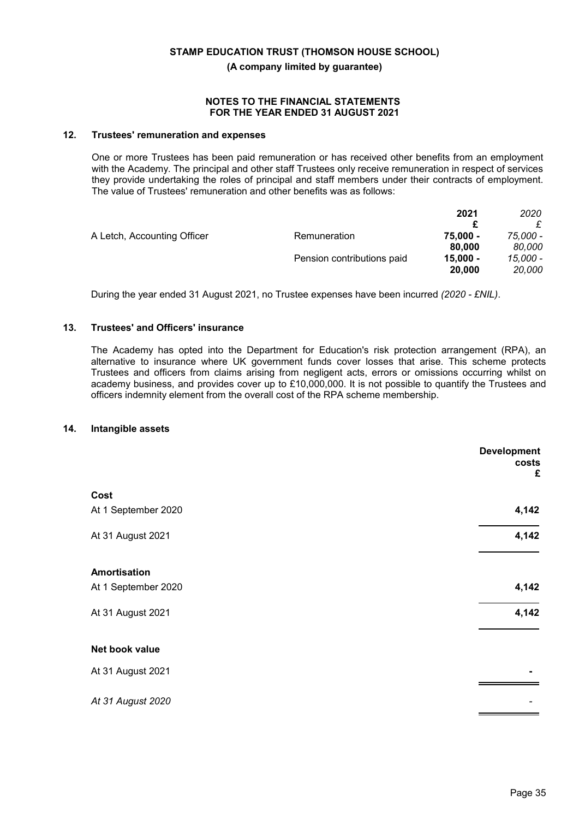#### **NOTES TO THE FINANCIAL STATEMENTS FOR THE YEAR ENDED 31 AUGUST 2021**

## **12. Trustees' remuneration and expenses**

One or more Trustees has been paid remuneration or has received other benefits from an employment with the Academy. The principal and other staff Trustees only receive remuneration in respect of services they provide undertaking the roles of principal and staff members under their contracts of employment. The value of Trustees' remuneration and other benefits was as follows:

|                             |                            | 2021       | 2020     |
|-----------------------------|----------------------------|------------|----------|
|                             |                            |            |          |
| A Letch, Accounting Officer | Remuneration               | 75.000 -   | 75,000 - |
|                             |                            | 80,000     | 80.000   |
|                             | Pension contributions paid | $15.000 -$ | 15,000 - |
|                             |                            | 20,000     | 20,000   |

During the year ended 31 August 2021, no Trustee expenses have been incurred *(2020 - £NIL)*.

#### **13. Trustees' and Officers' insurance**

The Academy has opted into the Department for Education's risk protection arrangement (RPA), an alternative to insurance where UK government funds cover losses that arise. This scheme protects Trustees and officers from claims arising from negligent acts, errors or omissions occurring whilst on academy business, and provides cover up to £10,000,000. It is not possible to quantify the Trustees and officers indemnity element from the overall cost of the RPA scheme membership.

#### **14. Intangible assets**

|                     | <b>Development</b><br>costs<br>£ |
|---------------------|----------------------------------|
| Cost                |                                  |
| At 1 September 2020 | 4,142                            |
| At 31 August 2021   | 4,142                            |
| <b>Amortisation</b> |                                  |
| At 1 September 2020 | 4,142                            |
| At 31 August 2021   | 4,142                            |
| Net book value      |                                  |
| At 31 August 2021   |                                  |
| At 31 August 2020   |                                  |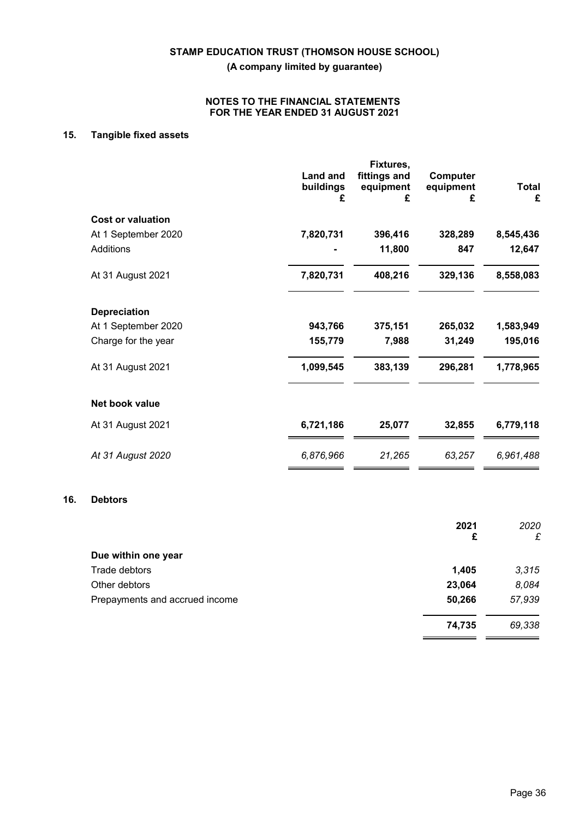## **NOTES TO THE FINANCIAL STATEMENTS FOR THE YEAR ENDED 31 AUGUST 2021**

# **15. Tangible fixed assets**

|                          | <b>Land and</b><br>buildings<br>£ | Fixtures,<br>fittings and<br>equipment<br>£ | <b>Computer</b><br>equipment<br>£ | <b>Total</b><br>£ |
|--------------------------|-----------------------------------|---------------------------------------------|-----------------------------------|-------------------|
| <b>Cost or valuation</b> |                                   |                                             |                                   |                   |
| At 1 September 2020      | 7,820,731                         | 396,416                                     | 328,289                           | 8,545,436         |
| Additions                |                                   | 11,800                                      | 847                               | 12,647            |
| At 31 August 2021        | 7,820,731                         | 408,216                                     | 329,136                           | 8,558,083         |
| <b>Depreciation</b>      |                                   |                                             |                                   |                   |
| At 1 September 2020      | 943,766                           | 375,151                                     | 265,032                           | 1,583,949         |
| Charge for the year      | 155,779                           | 7,988                                       | 31,249                            | 195,016           |
| At 31 August 2021        | 1,099,545                         | 383,139                                     | 296,281                           | 1,778,965         |
| Net book value           |                                   |                                             |                                   |                   |
| At 31 August 2021        | 6,721,186                         | 25,077                                      | 32,855                            | 6,779,118         |
| At 31 August 2020        | 6,876,966                         | 21,265                                      | 63,257                            | 6,961,488         |
|                          |                                   |                                             |                                   |                   |

## **16. Debtors**

|                                | 2021<br>£ | 2020<br>£ |
|--------------------------------|-----------|-----------|
| Due within one year            |           |           |
| Trade debtors                  | 1,405     | 3,315     |
| Other debtors                  | 23,064    | 8,084     |
| Prepayments and accrued income | 50,266    | 57,939    |
|                                | 74,735    | 69,338    |

 $=$   $=$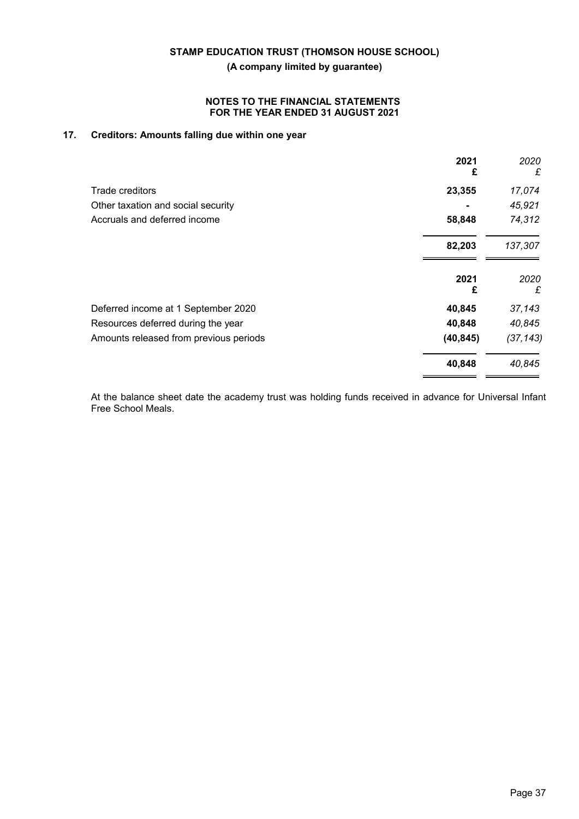## **NOTES TO THE FINANCIAL STATEMENTS FOR THE YEAR ENDED 31 AUGUST 2021**

# **17. Creditors: Amounts falling due within one year**

|                                        | 2021<br>£ | 2020<br>£ |
|----------------------------------------|-----------|-----------|
| Trade creditors                        | 23,355    | 17,074    |
| Other taxation and social security     |           | 45,921    |
| Accruals and deferred income           | 58,848    | 74,312    |
|                                        | 82,203    | 137,307   |
|                                        | 2021<br>£ | 2020<br>£ |
| Deferred income at 1 September 2020    | 40,845    | 37,143    |
| Resources deferred during the year     | 40,848    | 40,845    |
| Amounts released from previous periods | (40, 845) | (37, 143) |
|                                        | 40,848    | 40,845    |

At the balance sheet date the academy trust was holding funds received in advance for Universal Infant Free School Meals.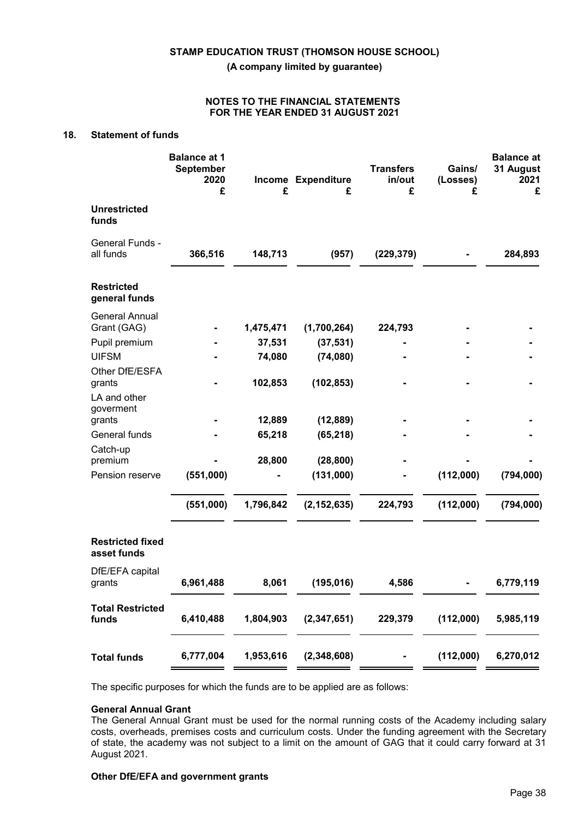#### **NOTES TO THE FINANCIAL STATEMENTS FOR THE YEAR ENDED 31 AUGUST 2021**

# **18. Statement of funds**

|                                          | <b>Balance at 1</b><br>September<br>2020<br>£ | £         | Income Expenditure<br>£                           | <b>Transfers</b><br>in/out<br>£ | Gains/<br>(Losses)<br>£ | <b>Balance at</b><br>31 August<br>2021<br>£ |
|------------------------------------------|-----------------------------------------------|-----------|---------------------------------------------------|---------------------------------|-------------------------|---------------------------------------------|
| <b>Unrestricted</b><br>funds             |                                               |           |                                                   |                                 |                         |                                             |
| General Funds -<br>all funds             | 366,516                                       | 148,713   | (957)                                             | (229, 379)                      |                         | 284,893                                     |
| <b>Restricted</b><br>general funds       |                                               |           |                                                   |                                 |                         |                                             |
| <b>General Annual</b><br>Grant (GAG)     |                                               | 1,475,471 | (1,700,264)                                       | 224,793                         |                         |                                             |
| Pupil premium                            |                                               | 37,531    | (37, 531)                                         |                                 |                         |                                             |
| <b>UIFSM</b>                             |                                               | 74,080    | (74,080)                                          |                                 |                         |                                             |
| Other DfE/ESFA<br>grants<br>LA and other |                                               | 102,853   | (102, 853)                                        |                                 |                         |                                             |
| goverment                                |                                               |           |                                                   |                                 |                         |                                             |
| grants                                   |                                               | 12,889    | (12, 889)                                         |                                 |                         |                                             |
| General funds                            |                                               | 65,218    | (65, 218)                                         |                                 |                         |                                             |
| Catch-up<br>premium                      |                                               | 28,800    | (28, 800)                                         |                                 |                         |                                             |
| Pension reserve                          | (551,000)                                     |           | (131,000)                                         |                                 | (112,000)               | (794,000)                                   |
|                                          | (551,000)                                     | 1,796,842 | (2, 152, 635)                                     | 224,793                         | (112,000)               | (794,000)                                   |
| <b>Restricted fixed</b><br>asset funds   |                                               |           |                                                   |                                 |                         |                                             |
| DfE/EFA capital<br>grants                | 6,961,488                                     | 8,061     | (195, 016)                                        | 4,586                           |                         | 6,779,119                                   |
| <b>Total Restricted</b><br>funds         | 6,410,488                                     |           | 1,804,903 (2,347,651) 229,379 (112,000) 5,985,119 |                                 |                         |                                             |
| <b>Total funds</b>                       |                                               |           | 6,777,004  1,953,616  (2,348,608)                 |                                 |                         | $(112,000)$ 6,270,012                       |
|                                          |                                               |           |                                                   |                                 |                         |                                             |

The specific purposes for which the funds are to be applied are as follows:

## **General Annual Grant**

The General Annual Grant must be used for the normal running costs of the Academy including salary costs, overheads, premises costs and curriculum costs. Under the funding agreement with the Secretary of state, the academy was not subject to a limit on the amount of GAG that it could carry forward at 31 August 2021.

# **Other DfE/EFA and government grants**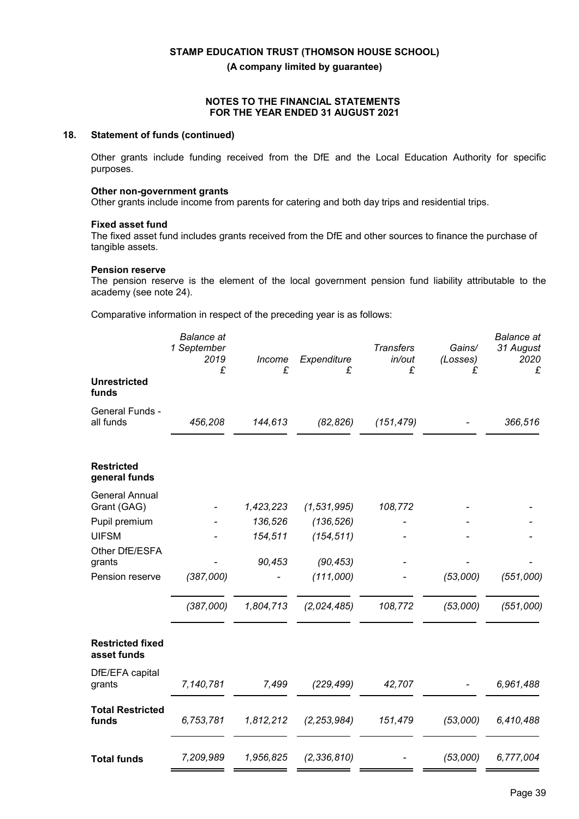## **NOTES TO THE FINANCIAL STATEMENTS FOR THE YEAR ENDED 31 AUGUST 2021**

## **18. Statement of funds (continued)**

Other grants include funding received from the DfE and the Local Education Authority for specific purposes.

#### **Other non-government grants**

Other grants include income from parents for catering and both day trips and residential trips.

#### **Fixed asset fund**

The fixed asset fund includes grants received from the DfE and other sources to finance the purchase of tangible assets.

### **Pension reserve**

The pension reserve is the element of the local government pension fund liability attributable to the academy (see note 24).

Comparative information in respect of the preceding year is as follows:

|                                        | <b>Balance</b> at<br>1 September<br>2019<br>£ | Income<br>£ | Expenditure<br>£ | <b>Transfers</b><br>in/out<br>£ | Gains/<br>(Losses)<br>£ | <b>Balance</b> at<br>31 August<br>2020<br>£ |
|----------------------------------------|-----------------------------------------------|-------------|------------------|---------------------------------|-------------------------|---------------------------------------------|
| <b>Unrestricted</b><br>funds           |                                               |             |                  |                                 |                         |                                             |
| General Funds -<br>all funds           | 456,208                                       | 144,613     | (82, 826)        | (151, 479)                      |                         | 366,516                                     |
| <b>Restricted</b><br>general funds     |                                               |             |                  |                                 |                         |                                             |
| <b>General Annual</b><br>Grant (GAG)   |                                               | 1,423,223   | (1,531,995)      | 108,772                         |                         |                                             |
| Pupil premium                          |                                               | 136,526     | (136, 526)       |                                 |                         |                                             |
| <b>UIFSM</b>                           |                                               | 154,511     | (154, 511)       |                                 |                         |                                             |
| Other DfE/ESFA<br>grants               |                                               | 90,453      | (90, 453)        |                                 |                         |                                             |
| Pension reserve                        | (387,000)                                     |             | (111,000)        |                                 | (53,000)                | (551,000)                                   |
|                                        | (387,000)                                     | 1,804,713   | (2,024,485)      | 108,772                         | (53,000)                | (551,000)                                   |
| <b>Restricted fixed</b><br>asset funds |                                               |             |                  |                                 |                         |                                             |
| DfE/EFA capital<br>grants              | 7,140,781                                     | 7,499       | (229, 499)       | 42,707                          |                         | 6,961,488                                   |
| <b>Total Restricted</b><br>funds       | 6,753,781                                     | 1,812,212   | (2, 253, 984)    | 151,479                         | (53,000)                | 6,410,488                                   |
| <b>Total funds</b>                     | 7,209,989                                     | 1,956,825   | (2, 336, 810)    |                                 | (53,000)                | 6,777,004                                   |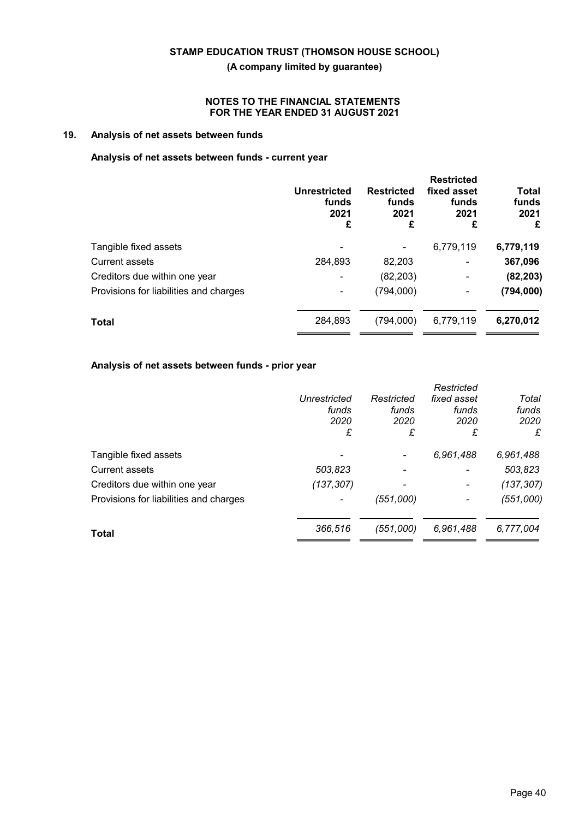## **NOTES TO THE FINANCIAL STATEMENTS FOR THE YEAR ENDED 31 AUGUST 2021**

# **19. Analysis of net assets between funds**

## **Analysis of net assets between funds - current year**

|                                        | <b>Unrestricted</b><br>funds<br>2021<br>£ | <b>Restricted</b><br>funds<br>2021<br>£ | <b>Restricted</b><br>fixed asset<br>funds<br>2021<br>£ | <b>Total</b><br>funds<br>2021<br>£ |
|----------------------------------------|-------------------------------------------|-----------------------------------------|--------------------------------------------------------|------------------------------------|
| Tangible fixed assets                  |                                           |                                         | 6,779,119                                              | 6,779,119                          |
| Current assets                         | 284,893                                   | 82,203                                  | -                                                      | 367,096                            |
| Creditors due within one year          |                                           | (82, 203)                               | -                                                      | (82, 203)                          |
| Provisions for liabilities and charges |                                           | (794,000)                               | -                                                      | (794, 000)                         |
| <b>Total</b>                           | 284,893                                   | (794,000)                               | 6,779,119                                              | 6,270,012                          |

# **Analysis of net assets between funds - prior year**

|                                        |                     |            | Restricted               |            |
|----------------------------------------|---------------------|------------|--------------------------|------------|
|                                        | <b>Unrestricted</b> | Restricted | fixed asset              | Total      |
|                                        | funds               | funds      | funds                    | funds      |
|                                        | 2020                | 2020       | 2020                     | 2020       |
|                                        | £                   | £          | £                        | £          |
| Tangible fixed assets                  |                     |            | 6,961,488                | 6,961,488  |
| <b>Current assets</b>                  | 503,823             |            |                          | 503,823    |
| Creditors due within one year          | (137, 307)          |            | $\overline{\phantom{a}}$ | (137, 307) |
| Provisions for liabilities and charges |                     | (551,000)  | $\overline{\phantom{a}}$ | (551,000)  |
| <b>Total</b>                           | 366,516             | (551,000)  | 6,961,488                | 6,777,004  |
|                                        |                     |            |                          |            |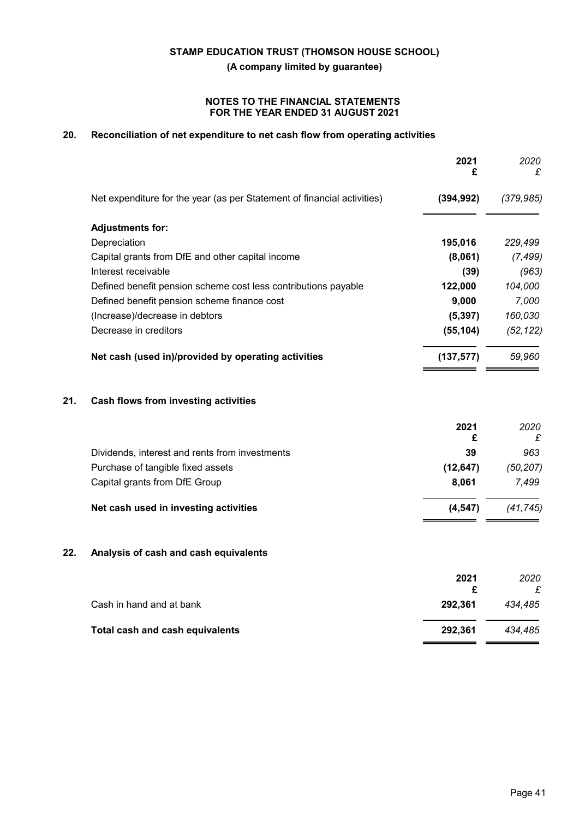## **NOTES TO THE FINANCIAL STATEMENTS FOR THE YEAR ENDED 31 AUGUST 2021**

# **20. Reconciliation of net expenditure to net cash flow from operating activities**

| £          |
|------------|
| (379, 985) |
|            |
| 229,499    |
| (7, 499)   |
| (963)      |
| 104,000    |
| 7,000      |
| 160,030    |
| (52, 122)  |
| 59,960     |
|            |
| 2020<br>£  |
| 963        |
| (50, 207)  |
| 7,499      |
| (41.745)   |
|            |

## **22. Analysis of cash and cash equivalents**

|                                 | 2021    | 2020    |
|---------------------------------|---------|---------|
|                                 |         |         |
| Cash in hand and at bank        | 292.361 | 434.485 |
| Total cash and cash equivalents | 292.361 | 434.485 |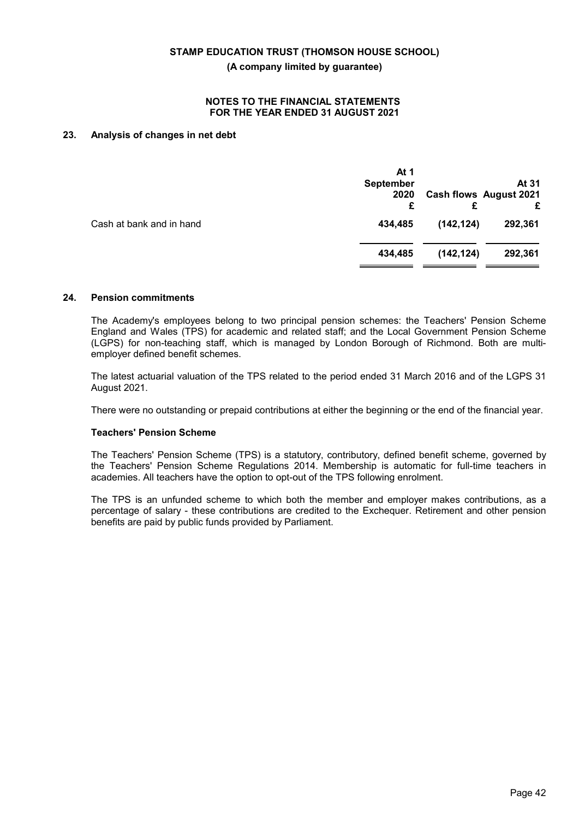#### **NOTES TO THE FINANCIAL STATEMENTS FOR THE YEAR ENDED 31 AUGUST 2021**

## **23. Analysis of changes in net debt**

|                          | At 1<br><b>September</b><br>2020<br>£ |            | At 31<br><b>Cash flows August 2021</b><br>£ |
|--------------------------|---------------------------------------|------------|---------------------------------------------|
| Cash at bank and in hand | 434,485                               | (142, 124) | 292,361                                     |
|                          | 434.485                               | (142, 124) | 292,361                                     |
|                          |                                       |            |                                             |

#### **24. Pension commitments**

The Academy's employees belong to two principal pension schemes: the Teachers' Pension Scheme England and Wales (TPS) for academic and related staff; and the Local Government Pension Scheme (LGPS) for non-teaching staff, which is managed by London Borough of Richmond. Both are multiemployer defined benefit schemes.

The latest actuarial valuation of the TPS related to the period ended 31 March 2016 and of the LGPS 31 August 2021.

There were no outstanding or prepaid contributions at either the beginning or the end of the financial year.

#### **Teachers' Pension Scheme**

The Teachers' Pension Scheme (TPS) is a statutory, contributory, defined benefit scheme, governed by the Teachers' Pension Scheme Regulations 2014. Membership is automatic for full-time teachers in academies. All teachers have the option to opt-out of the TPS following enrolment.

The TPS is an unfunded scheme to which both the member and employer makes contributions, as a percentage of salary - these contributions are credited to the Exchequer. Retirement and other pension benefits are paid by public funds provided by Parliament.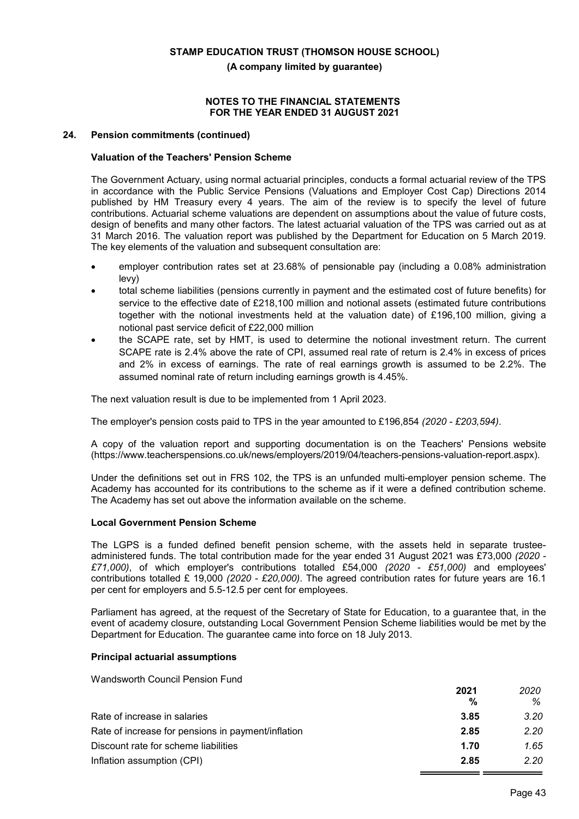#### **NOTES TO THE FINANCIAL STATEMENTS FOR THE YEAR ENDED 31 AUGUST 2021**

#### **24. Pension commitments (continued)**

## **Valuation of the Teachers' Pension Scheme**

The Government Actuary, using normal actuarial principles, conducts a formal actuarial review of the TPS in accordance with the Public Service Pensions (Valuations and Employer Cost Cap) Directions 2014 published by HM Treasury every 4 years. The aim of the review is to specify the level of future contributions. Actuarial scheme valuations are dependent on assumptions about the value of future costs, design of benefits and many other factors. The latest actuarial valuation of the TPS was carried out as at 31 March 2016. The valuation report was published by the Department for Education on 5 March 2019. The key elements of the valuation and subsequent consultation are:

- employer contribution rates set at 23.68% of pensionable pay (including a 0.08% administration levy)
- total scheme liabilities (pensions currently in payment and the estimated cost of future benefits) for service to the effective date of £218,100 million and notional assets (estimated future contributions together with the notional investments held at the valuation date) of £196,100 million, giving a notional past service deficit of £22,000 million
- the SCAPE rate, set by HMT, is used to determine the notional investment return. The current SCAPE rate is 2.4% above the rate of CPI, assumed real rate of return is 2.4% in excess of prices and 2% in excess of earnings. The rate of real earnings growth is assumed to be 2.2%. The assumed nominal rate of return including earnings growth is 4.45%.

The next valuation result is due to be implemented from 1 April 2023.

The employer's pension costs paid to TPS in the year amounted to £196,854 *(2020 - £203,594)*.

A copy of the valuation report and supporting documentation is on the Teachers' Pensions website (https://www.teacherspensions.co.uk/news/employers/2019/04/teachers-pensions-valuation-report.aspx).

Under the definitions set out in FRS 102, the TPS is an unfunded multi-employer pension scheme. The Academy has accounted for its contributions to the scheme as if it were a defined contribution scheme. The Academy has set out above the information available on the scheme.

#### **Local Government Pension Scheme**

The LGPS is a funded defined benefit pension scheme, with the assets held in separate trusteeadministered funds. The total contribution made for the year ended 31 August 2021 was £73,000 *(2020 - £71,000)*, of which employer's contributions totalled £54,000 *(2020 - £51,000)* and employees' contributions totalled £ 19,000 *(2020 - £20,000)*. The agreed contribution rates for future years are 16.1 per cent for employers and 5.5-12.5 per cent for employees.

Parliament has agreed, at the request of the Secretary of State for Education, to a guarantee that, in the event of academy closure, outstanding Local Government Pension Scheme liabilities would be met by the Department for Education. The guarantee came into force on 18 July 2013.

## **Principal actuarial assumptions**

Wandsworth Council Pension Fund

|                                                    | 2021 | 2020 |
|----------------------------------------------------|------|------|
|                                                    | %    | %    |
| Rate of increase in salaries                       | 3.85 | 3.20 |
| Rate of increase for pensions in payment/inflation | 2.85 | 2.20 |
| Discount rate for scheme liabilities               | 1.70 | 1.65 |
| Inflation assumption (CPI)                         | 2.85 | 2.20 |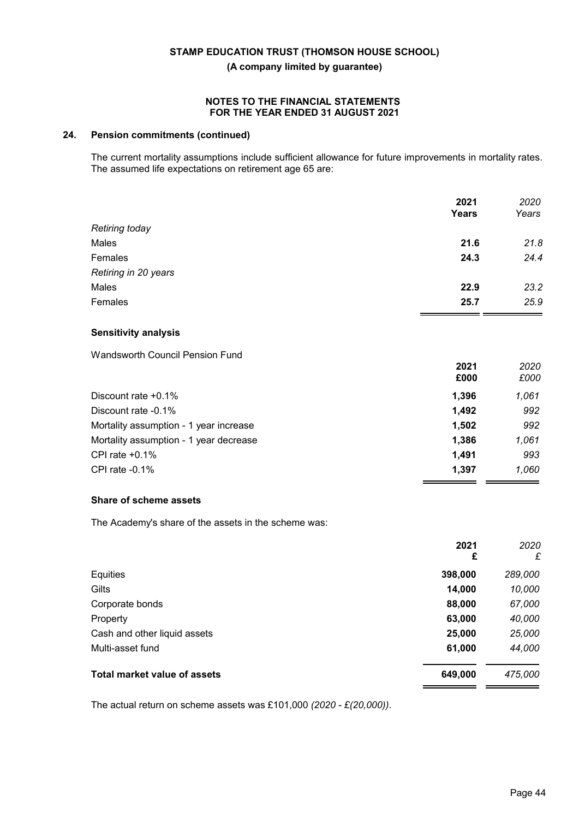#### **NOTES TO THE FINANCIAL STATEMENTS FOR THE YEAR ENDED 31 AUGUST 2021**

## **24. Pension commitments (continued)**

The current mortality assumptions include sufficient allowance for future improvements in mortality rates. The assumed life expectations on retirement age 65 are:

|                       | 2021<br><b>Years</b> | 2020<br>Years |
|-----------------------|----------------------|---------------|
| <b>Retiring today</b> |                      |               |
| Males                 | 21.6                 | 21.8          |
| Females               | 24.3                 | 24.4          |
| Retiring in 20 years  |                      |               |
| Males                 | 22.9                 | 23.2          |
| Females               | 25.7                 | 25.9          |
|                       |                      |               |

#### **Sensitivity analysis**

Wandsworth Council Pension Fund

|                                        | 2021<br>£000 | 2020<br>£000 |
|----------------------------------------|--------------|--------------|
| Discount rate $+0.1\%$                 | 1,396        | 1,061        |
| Discount rate -0.1%                    | 1,492        | 992          |
| Mortality assumption - 1 year increase | 1,502        | 992          |
| Mortality assumption - 1 year decrease | 1.386        | 1,061        |
| CPI rate $+0.1\%$                      | 1.491        | 993          |
| CPI rate $-0.1\%$                      | 1.397        | 1.060        |

# **Share of scheme assets**

The Academy's share of the assets in the scheme was:

|                                     | 2021<br>£ | 2020<br>£ |
|-------------------------------------|-----------|-----------|
| Equities                            | 398,000   | 289,000   |
| Gilts                               | 14,000    | 10,000    |
| Corporate bonds                     | 88,000    | 67,000    |
| Property                            | 63,000    | 40,000    |
| Cash and other liquid assets        | 25,000    | 25,000    |
| Multi-asset fund                    | 61,000    | 44,000    |
| <b>Total market value of assets</b> | 649,000   | 475,000   |

The actual return on scheme assets was £101,000 *(2020 - £(20,000))*.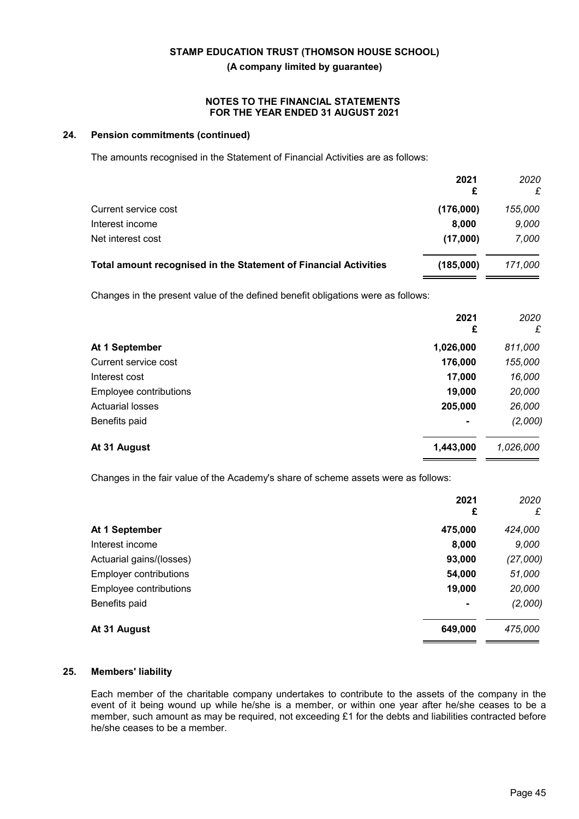#### **NOTES TO THE FINANCIAL STATEMENTS FOR THE YEAR ENDED 31 AUGUST 2021**

## **24. Pension commitments (continued)**

The amounts recognised in the Statement of Financial Activities are as follows:

|                                                                  | 2021<br>£ | 2020<br>£ |
|------------------------------------------------------------------|-----------|-----------|
| Current service cost                                             | (176,000) | 155,000   |
| Interest income                                                  | 8.000     | 9,000     |
| Net interest cost                                                | (17,000)  | 7,000     |
| Total amount recognised in the Statement of Financial Activities | (185,000) | 171.000   |

Changes in the present value of the defined benefit obligations were as follows:

|                         | 2021<br>£      | 2020<br>£ |
|-------------------------|----------------|-----------|
| At 1 September          | 1,026,000      | 811,000   |
| Current service cost    | 176,000        | 155,000   |
| Interest cost           | 17,000         | 16,000    |
| Employee contributions  | 19,000         | 20,000    |
| <b>Actuarial losses</b> | 205,000        | 26,000    |
| Benefits paid           | $\blacksquare$ | (2,000)   |
| At 31 August            | 1,443,000      | 1,026,000 |

Changes in the fair value of the Academy's share of scheme assets were as follows:

|                          | 2021<br>£      | 2020<br>£ |
|--------------------------|----------------|-----------|
| At 1 September           | 475,000        | 424,000   |
| Interest income          | 8,000          | 9,000     |
| Actuarial gains/(losses) | 93,000         | (27,000)  |
| Employer contributions   | 54,000         | 51,000    |
| Employee contributions   | 19,000         | 20,000    |
| Benefits paid            | $\blacksquare$ | (2,000)   |
| At 31 August             | 649,000        | 475,000   |

## **25. Members' liability**

Each member of the charitable company undertakes to contribute to the assets of the company in the event of it being wound up while he/she is a member, or within one year after he/she ceases to be a member, such amount as may be required, not exceeding £1 for the debts and liabilities contracted before he/she ceases to be a member.